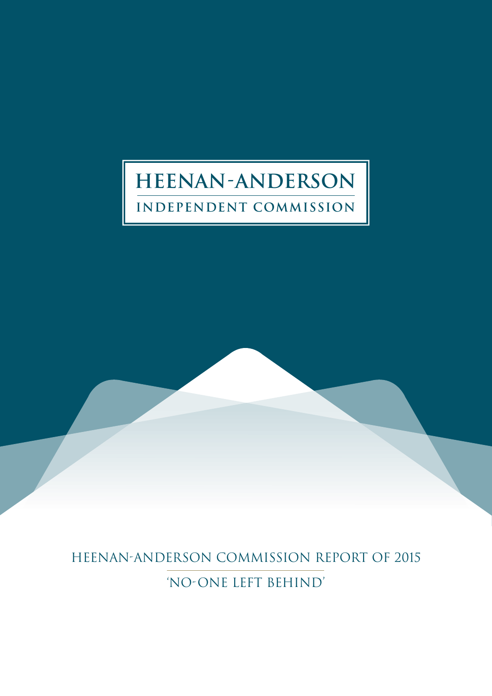# **HEENAN ANDERSON INDEPENDENT COMMISSION**

HEENAN-ANDERSON COMMISSION REPORT OF 2015 'NO-ONE LEFT BEHIND'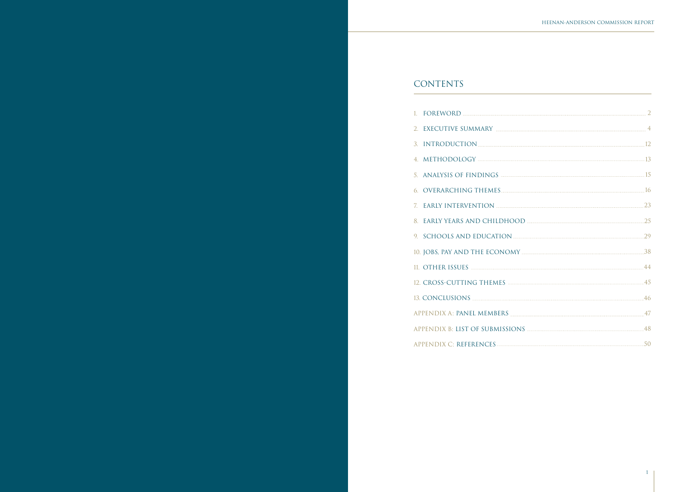| 5. ANALYSIS OF FINDINGS <b>Example 2006</b> 25 ANALYSIS OF FINDINGS |  |
|---------------------------------------------------------------------|--|
|                                                                     |  |
|                                                                     |  |
|                                                                     |  |
|                                                                     |  |
|                                                                     |  |
|                                                                     |  |
|                                                                     |  |
|                                                                     |  |
|                                                                     |  |
|                                                                     |  |
|                                                                     |  |

# CONTENTS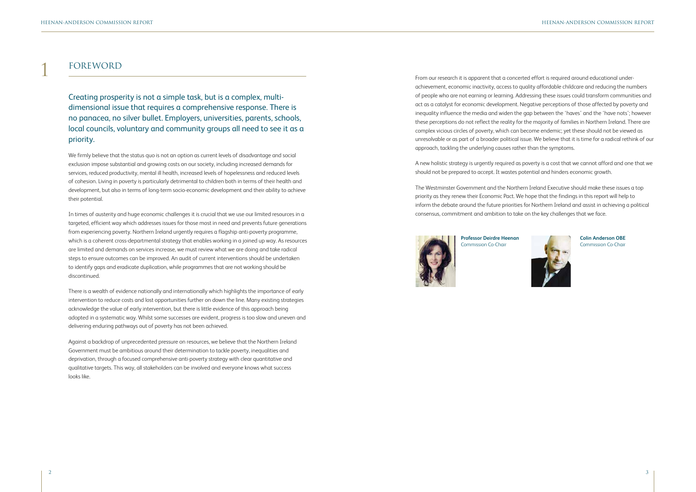

# FOREWORD

Creating prosperity is not a simple task, but is a complex, multidimensional issue that requires a comprehensive response. There is no panacea, no silver bullet. Employers, universities, parents, schools, local councils, voluntary and community groups all need to see it as a priority.

We firmly believe that the status quo is not an option as current levels of disadvantage and social exclusion impose substantial and growing costs on our society, including increased demands for services, reduced productivity, mental ill health, increased levels of hopelessness and reduced levels of cohesion. Living in poverty is particularly detrimental to children both in terms of their health and development, but also in terms of long-term socio-economic development and their ability to achieve their potential.

In times of austerity and huge economic challenges it is crucial that we use our limited resources in a targeted, efficient way which addresses issues for those most in need and prevents future generations from experiencing poverty. Northern Ireland urgently requires a flagship anti-poverty programme, which is a coherent cross-departmental strategy that enables working in a joined up way. As resources are limited and demands on services increase, we must review what we are doing and take radical steps to ensure outcomes can be improved. An audit of current interventions should be undertaken to identify gaps and eradicate duplication, while programmes that are not working should be discontinued.

There is a wealth of evidence nationally and internationally which highlights the importance of early intervention to reduce costs and lost opportunities further on down the line. Many existing strategies acknowledge the value of early intervention, but there is little evidence of this approach being adopted in a systematic way. Whilst some successes are evident, progress is too slow and uneven and delivering enduring pathways out of poverty has not been achieved.

Against a backdrop of unprecedented pressure on resources, we believe that the Northern Ireland Government must be ambitious around their determination to tackle poverty, inequalities and deprivation, through a focused comprehensive anti-poverty strategy with clear quantitative and qualitative targets. This way, all stakeholders can be involved and everyone knows what success looks like.

1 From our research it is apparent that a concerted effort is required around educational underachievement, economic inactivity, access to quality affordable childcare and reducing the numbers of people who are not earning or learning. Addressing these issues could transform communities and act as a catalyst for economic development. Negative perceptions of those affected by poverty and inequality influence the media and widen the gap between the 'haves' and the 'have nots'; however these perceptions do not reflect the reality for the majority of families in Northern Ireland. There are complex vicious circles of poverty, which can become endemic; yet these should not be viewed as unresolvable or as part of a broader political issue. We believe that it is time for a radical rethink of our approach, tackling the underlying causes rather than the symptoms.

A new holistic strategy is urgently required as poverty is a cost that we cannot afford and one that we should not be prepared to accept. It wastes potential and hinders economic growth.

The Westminster Government and the Northern Ireland Executive should make these issues a top priority as they renew their Economic Pact. We hope that the findings in this report will help to inform the debate around the future priorities for Northern Ireland and assist in achieving a political consensus, commitment and ambition to take on the key challenges that we face.



**Colin Anderson OBE** Commission Co-Chair

**Professor Deirdre Heenan** Commission Co-Chair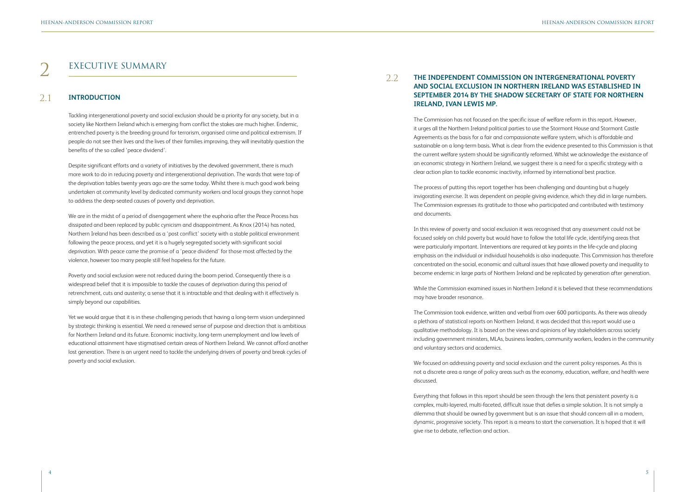# EXECUTIVE SUMMARY

Tackling intergenerational poverty and social exclusion should be a priority for any society, but in a society like Northern Ireland which is emerging from conflict the stakes are much higher. Endemic, entrenched poverty is the breeding ground for terrorism, organised crime and political extremism. If people do not see their lives and the lives of their families improving, they will inevitably question the benefits of the so called 'peace dividend'.

Despite significant efforts and a variety of initiatives by the devolved government, there is much more work to do in reducing poverty and intergenerational deprivation. The wards that were top of the deprivation tables twenty years ago are the same today. Whilst there is much good work being undertaken at community level by dedicated community workers and local groups they cannot hope to address the deep-seated causes of poverty and deprivation.

We are in the midst of a period of disengagement where the euphoria after the Peace Process has dissipated and been replaced by public cynicism and disappointment. As Knox (2014) has noted, Northern Ireland has been described as a 'post conflict' society with a stable political environment following the peace process, and yet it is a hugely segregated society with significant social deprivation. With peace came the promise of a 'peace dividend' for those most affected by the violence, however too many people still feel hopeless for the future.

Poverty and social exclusion were not reduced during the boom period. Consequently there is a widespread belief that it is impossible to tackle the causes of deprivation during this period of retrenchment, cuts and austerity; a sense that it is intractable and that dealing with it effectively is simply beyond our capabilities.

Yet we would argue that it is in these challenging periods that having a long-term vision underpinned by strategic thinking is essential. We need a renewed sense of purpose and direction that is ambitious for Northern Ireland and its future. Economic inactivity, long-term unemployment and low levels of educational attainment have stigmatised certain areas of Northern Ireland. We cannot afford another lost generation. There is an urgent need to tackle the underlying drivers of poverty and break cycles of poverty and social exclusion.

We focused on addressing poverty and social exclusion and the current policy responses. As this is not a discrete area a range of policy areas such as the economy, education, welfare, and health were discussed.

### **INTRODUCTION** 2.1

The Commission has not focused on the specific issue of welfare reform in this report. However, it urges all the Northern Ireland political parties to use the Stormont House and Stormont Castle Agreements as the basis for a fair and compassionate welfare system, which is affordable and sustainable on a long-term basis. What is clear from the evidence presented to this Commission is that the current welfare system should be significantly reformed. Whilst we acknowledge the existance of an economic strategy in Northern Ireland, we suggest there is a need for a specific strategy with a clear action plan to tackle economic inactivity, informed by international best practice.

The process of putting this report together has been challenging and daunting but a hugely invigorating exercise. It was dependent on people giving evidence, which they did in large numbers. The Commission expresses its gratitude to those who participated and contributed with testimony and documents.

In this review of poverty and social exclusion it was recognised that any assessment could not be focused solely on child poverty but would have to follow the total life cycle, identifying areas that were particularly important. Interventions are required at key points in the life-cycle and placing emphasis on the individual or individual households is also inadequate. This Commission has therefore concentrated on the social, economic and cultural issues that have allowed poverty and inequality to become endemic in large parts of Northern Ireland and be replicated by generation after generation.

### 2 **THE INDEPENDENT COMMISSION ON INTERGENERATIONAL POVERTY AND SOCIAL EXCLUSION IN NORTHERN IRELAND WAS ESTABLISHED IN SEPTEMBER 2014 BY THE SHADOW SECRETARY OF STATE FOR NORTHERN IRELAND, IVAN LEWIS MP.**  2.2

While the Commission examined issues in Northern Ireland it is believed that these recommendations may have broader resonance.

The Commission took evidence, written and verbal from over 600 participants. As there was already a plethora of statistical reports on Northern Ireland, it was decided that this report would use a qualitative methodology. It is based on the views and opinions of key stakeholders across society including government ministers, MLAs, business leaders, community workers, leaders in the community and voluntary sectors and academics.

Everything that follows in this report should be seen through the lens that persistent poverty is a complex, multi-layered, multi-faceted, difficult issue that defies a simple solution. It is not simply a dilemma that should be owned by government but is an issue that should concern all in a modern, dynamic, progressive society. This report is a means to start the conversation. It is hoped that it will give rise to debate, reflection and action.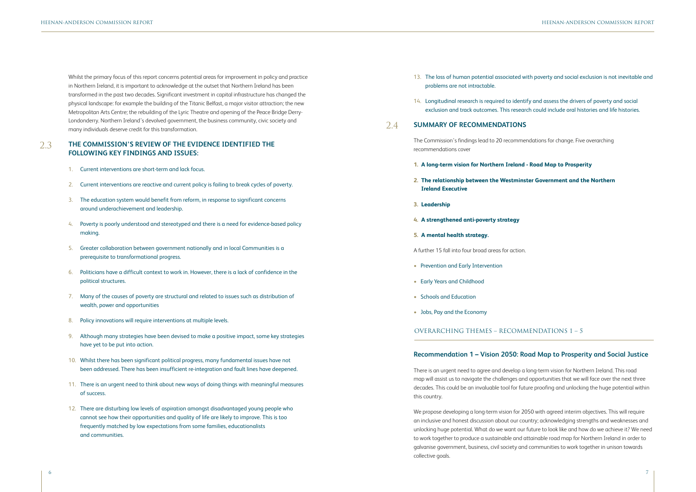Whilst the primary focus of this report concerns potential areas for improvement in policy and practice in Northern Ireland, it is important to acknowledge at the outset that Northern Ireland has been transformed in the past two decades. Significant investment in capital infrastructure has changed the physical landscape: for example the building of the Titanic Belfast, a major visitor attraction; the new Metropolitan Arts Centre; the rebuilding of the Lyric Theatre and opening of the Peace Bridge Derry-Londonderry. Northern Ireland's devolved government, the business community, civic society and many individuals deserve credit for this transformation.

- 1. Current interventions are short-term and lack focus.
- 2. Current interventions are reactive and current policy is failing to break cycles of poverty.
- 3. The education system would benefit from reform, in response to significant concerns around underachievement and leadership.
- 4. Poverty is poorly understood and stereotyped and there is a need for evidence-based policy making.
- 5. Greater collaboration between government nationally and in local Communities is a prerequisite to transformational progress.
- 6. Politicians have a difficult context to work in. However, there is a lack of confidence in the political structures.
- 7. Many of the causes of poverty are structural and related to issues such as distribution of wealth, power and opportunities
- 8. Policy innovations will require interventions at multiple levels.
- 9. Although many strategies have been devised to make a positive impact, some key strategies have yet to be put into action.
- 10. Whilst there has been significant political progress, many fundamental issues have not been addressed. There has been insufficient re-integration and fault lines have deepened.
- 11. There is an urgent need to think about new ways of doing things with meaningful measures of success.
- 12. There are disturbing low levels of aspiration amongst disadvantaged young people who cannot see how their opportunities and quality of life are likely to improve. This is too frequently matched by low expectations from some families, educationalists and communities.

We propose developing a long-term vision for 2050 with agreed interim objectives. This will require an inclusive and honest discussion about our country; acknowledging strengths and weaknesses and unlocking huge potential. What do we want our future to look like and how do we achieve it? We need to work together to produce a sustainable and attainable road map for Northern Ireland in order to galvanise government, business, civil society and communities to work together in unison towards collective goals.

### 13. The loss of human potential associated with poverty and social exclusion is not inevitable and

### **THE COMMISSION'S REVIEW OF THE EVIDENCE IDENTIFIED THE FOLLOWING KEY FINDINGS AND ISSUES:**  2.3

- problems are not intractable.
- 

14. Longitudinal research is required to identify and assess the drivers of poverty and social exclusion and track outcomes. This research could include oral histories and life histories.

The Commission's findings lead to 20 recommendations for change. Five overarching recommendations cover

- **1. A long-term vision for Northern Ireland Road Map to Prosperity**
- **2. The relationship between the Westminster Government and the Northern Ireland Executive**
- **3. Leadership**
- **4. A strengthened anti-poverty strategy**
- **5. A mental health strategy.**

A further 15 fall into four broad areas for action.

- Prevention and Early Intervention
- Early Years and Childhood
- Schools and Education
- Jobs, Pay and the Economy

## **Recommendation 1 – Vision 2050: Road Map to Prosperity and Social Justice**

### **SUMMARY OF RECOMMENDATIONS** 2.4

There is an urgent need to agree and develop a long-term vision for Northern Ireland. This road map will assist us to navigate the challenges and opportunities that we will face over the next three decades. This could be an invaluable tool for future proofing and unlocking the huge potential within this country.

# OVERARCHING THEMES – RECOMMENDATIONS 1 – 5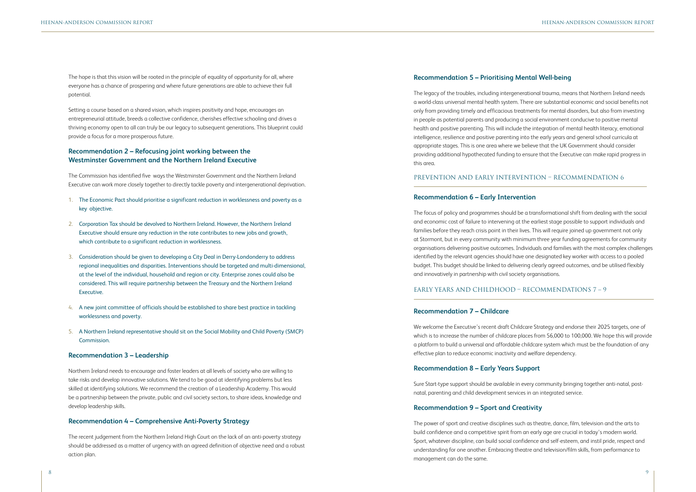The hope is that this vision will be rooted in the principle of equality of opportunity for all, where everyone has a chance of prospering and where future generations are able to achieve their full potential.

Setting a course based on a shared vision, which inspires positivity and hope, encourages an entrepreneurial attitude, breeds a collective confidence, cherishes effective schooling and drives a thriving economy open to all can truly be our legacy to subsequent generations. This blueprint could provide a focus for a more prosperous future.

## **Recommendation 2 – Refocusing joint working between the Westminster Government and the Northern Ireland Executive**

The Commission has identified five ways the Westminster Government and the Northern Ireland Executive can work more closely together to directly tackle poverty and intergenerational deprivation.

- 1. The Economic Pact should prioritise a significant reduction in worklessness and poverty as a key objective.
- 2. Corporation Tax should be devolved to Northern Ireland. However, the Northern Ireland Executive should ensure any reduction in the rate contributes to new jobs and growth, which contribute to a significant reduction in worklessness.
- 3. Consideration should be given to developing a City Deal in Derry-Londonderry to address regional inequalities and disparities. Interventions should be targeted and multi-dimensional, at the level of the individual, household and region or city. Enterprise zones could also be considered. This will require partnership between the Treasury and the Northern Ireland Executive.
- 4. A new joint committee of officials should be established to share best practice in tackling worklessness and poverty.
- 5. A Northern Ireland representative should sit on the Social Mobility and Child Poverty (SMCP) Commission.

## **Recommendation 3 – Leadership**

Northern Ireland needs to encourage and foster leaders at all levels of society who are willing to take risks and develop innovative solutions. We tend to be good at identifying problems but less skilled at identifying solutions. We recommend the creation of a Leadership Academy. This would be a partnership between the private, public and civil society sectors, to share ideas, knowledge and develop leadership skills.

### **Recommendation 4 – Comprehensive Anti-Poverty Strategy**

The recent judgement from the Northern Ireland High Court on the lack of an anti-poverty strategy should be addressed as a matter of urgency with an agreed definition of objective need and a robust action plan.

## **Recommendation 5 – Prioritising Mental Well-being**

The legacy of the troubles, including intergenerational trauma, means that Northern Ireland needs a world-class universal mental health system. There are substantial economic and social benefits not only from providing timely and efficacious treatments for mental disorders, but also from investing in people as potential parents and producing a social environment conducive to positive mental health and positive parenting. This will include the integration of mental health literacy, emotional intelligence, resilience and positive parenting into the early years and general school curricula at appropriate stages. This is one area where we believe that the UK Government should consider providing additional hypothecated funding to ensure that the Executive can make rapid progress in this area.

### **Recommendation 6 – Early Intervention**

The focus of policy and programmes should be a transformational shift from dealing with the social and economic cost of failure to intervening at the earliest stage possible to support individuals and families before they reach crisis point in their lives. This will require joined up government not only at Stormont, but in every community with minimum three year funding agreements for community organisations delivering positive outcomes. Individuals and families with the most complex challenges identified by the relevant agencies should have one designated key worker with access to a pooled budget. This budget should be linked to delivering clearly agreed outcomes, and be utilised flexibly and innovatively in partnership with civil society organisations.

### **Recommendation 7 – Childcare**

We welcome the Executive's recent draft Childcare Strategy and endorse their 2025 targets, one of which is to increase the number of childcare places from 56,000 to 100,000. We hope this will provide a platform to build a universal and affordable childcare system which must be the foundation of any effective plan to reduce economic inactivity and welfare dependency.

# **Recommendation 8 – Early Years Support**

Sure Start-type support should be available in every community bringing together anti-natal, postnatal, parenting and child development services in an integrated service.

# **Recommendation 9 – Sport and Creativity**

The power of sport and creative disciplines such as theatre, dance, film, television and the arts to build confidence and a competitive spirit from an early age are crucial in today's modern world. Sport, whatever discipline, can build social confidence and self-esteem, and instil pride, respect and understanding for one another. Embracing theatre and television/film skills, from performance to management can do the same.

## EARLY YEARS AND CHILDHOOD – RECOMMENDATIONS 7 – 9

# PREVENTION AND EARLY INTERVENTION – RECOMMENDATION 6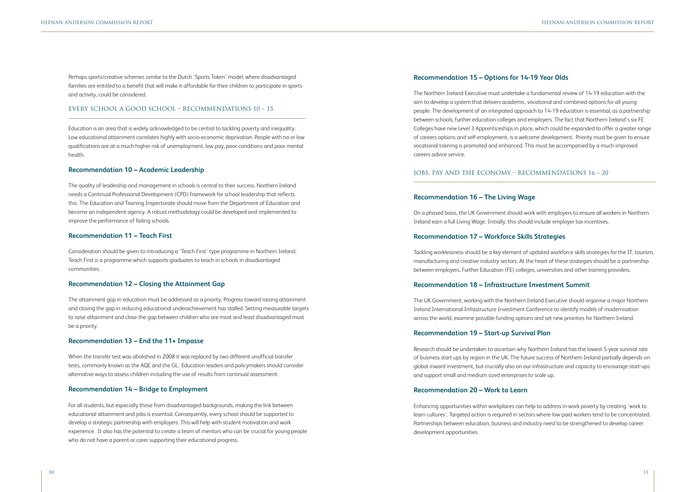Perhaps sports/creative schemes similar to the Dutch 'Sports Token' model, where disadvantaged families are entitled to a benefit that will make it affordable for their children to participate in sports and activity, could be considered.

Education is an area that is widely acknowledged to be central to tackling poverty and inequality. Low educational attainment correlates highly with socio-economic deprivation. People with no or low qualifications are at a much higher risk of unemployment, low pay, poor conditions and poor mental health.

### **Recommendation 10 – Academic Leadership**

The quality of leadership and management in schools is central to their success. Northern Ireland needs a Continual Professional Development (CPD) Framework for school leadership that reflects this. The Education and Training Inspectorate should move from the Department of Education and become an independent agency. A robust methodology could be developed and implemented to improve the performance of failing schools.

### **Recommendation 11 – Teach First**

Consideration should be given to introducing a 'Teach First' type programme in Northern Ireland. Teach First is a programme which supports graduates to teach in schools in disadvantaged communities.

### **Recommendation 12 – Closing the Attainment Gap**

### EVERY SCHOOL A GOOD SCHOOL – RECOMMENDATIONS 10 – 15

The attainment gap in education must be addressed as a priority. Progress toward raising attainment and closing the gap in reducing educational underachievement has stalled. Setting measurable targets to raise attainment and close the gap between children who are most and least disadvantaged must be a priority.

### **Recommendation 13 – End the 11+ Impasse**

When the transfer test was abolished in 2008 it was replaced by two different unofficial transfer tests, commonly known as the AQE and the GL. Education leaders and policymakers should consider alternative ways to assess children including the use of results from continual assessment.

### **Recommendation 14 – Bridge to Employment**

For all students, but especially those from disadvantaged backgrounds, making the link between educational attainment and jobs is essential. Consequently, every school should be supported to develop a strategic partnership with employers. This will help with student motivation and work experience. It also has the potential to create a team of mentors who can be crucial for young people who do not have a parent or carer supporting their educational progress.

# JOBS, PAY AND THE ECONOMY – RECOMMENDATIONS 16 – 20

# **Recommendation 15 – Options for 14-19 Year Olds**

The Northern Ireland Executive must undertake a fundamental review of 14-19 education with the aim to develop a system that delivers academic, vocational and combined options for all young people. The development of an integrated approach to 14-19 education is essential, as a partnership between schools, further education colleges and employers. The fact that Northern Ireland's six FE Colleges have new Level 3 Apprenticeships in place, which could be expanded to offer a greater range of careers options and self-employment, is a welcome development. Priority must be given to ensure vocational training is promoted and enhanced. This must be accompanied by a much improved careers advice service.

### **Recommendation 16 – The Living Wage**

On a phased basis, the UK Government should work with employers to ensure all workers in Northern Ireland earn a full Living Wage. Initially, this should include employer tax incentives.

### **Recommendation 17 – Workforce Skills Strategies**

Tackling worklessness should be a key element of updated workforce skills strategies for the IT, tourism, manufacturing and creative industry sectors. At the heart of these strategies should be a partnership between employers, Further Education (FE) colleges, universities and other training providers.

# **Recommendation 18 – Infrastructure Investment Summit**

The UK Government, working with the Northern Ireland Executive should organise a major Northern Ireland International Infrastructure Investment Conference to identify models of modernisation across the world, examine possible funding options and set new priorities for Northern Ireland.

# **Recommendation 19 – Start-up Survival Plan**

Research should be undertaken to ascertain why Northern Ireland has the lowest 5-year survival rate of business start-ups by region in the UK. The future success of Northern Ireland partially depends on global inward investment, but crucially also on our infrastructure and capacity to encourage start-ups and support small and medium sized enterprises to scale up.

## **Recommendation 20 – Work to Learn**

Enhancing opportunities within workplaces can help to address in-work poverty by creating 'work to learn cultures'. Targeted action is required in sectors where low-paid workers tend to be concentrated. Partnerships between education, business and industry need to be strengthened to develop career development opportunities.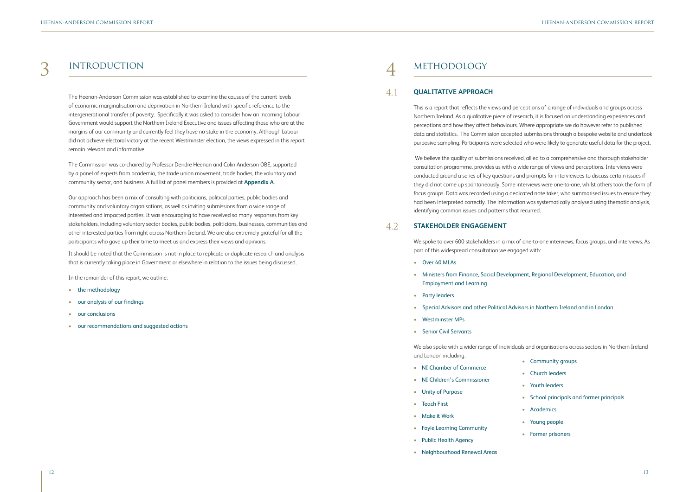# 3 INTRODUCTION 4 METHODOLOGY

The Heenan-Anderson Commission was established to examine the causes of the current levels of economic marginalisation and deprivation in Northern Ireland with specific reference to the intergenerational transfer of poverty. Specifically it was asked to consider how an incoming Labour Government would support the Northern Ireland Executive and issues affecting those who are at the margins of our community and currently feel they have no stake in the economy. Although Labour did not achieve electoral victory at the recent Westminster election, the views expressed in this report remain relevant and informative.

The Commission was co-chaired by Professor Deirdre Heenan and Colin Anderson OBE, supported by a panel of experts from academia, the trade union movement, trade bodies, the voluntary and community sector, and business. A full list of panel members is provided at **Appendix A**.

- the methodology
- our analysis of our findings
- our conclusions
- our recommendations and suggested actions

Our approach has been a mix of consulting with politicians, political parties, public bodies and community and voluntary organisations, as well as inviting submissions from a wide range of interested and impacted parties. It was encouraging to have received so many responses from key stakeholders, including voluntary sector bodies, public bodies, politicians, businesses, communities and other interested parties from right across Northern Ireland. We are also extremely grateful for all the participants who gave up their time to meet us and express their views and opinions.

It should be noted that the Commission is not in place to replicate or duplicate research and analysis that is currently taking place in Government or elsewhere in relation to the issues being discussed.

In the remainder of this report, we outline:

This is a report that reflects the views and perceptions of a range of individuals and groups across Northern Ireland. As a qualitative piece of research, it is focused on understanding experiences and perceptions and how they affect behaviours. Where appropriate we do however refer to published data and statistics. The Commission accepted submissions through a bespoke website and undertook purposive sampling. Participants were selected who were likely to generate useful data for the project.

 We believe the quality of submissions received, allied to a comprehensive and thorough stakeholder consultation programme, provides us with a wide range of views and perceptions. Interviews were conducted around a series of key questions and prompts for interviewees to discuss certain issues if they did not come up spontaneously. Some interviews were one-to-one, whilst others took the form of focus groups. Data was recorded using a dedicated note taker, who summarised issues to ensure they had been interpreted correctly. The information was systematically analysed using thematic analysis, identifying common issues and patterns that recurred.

### **QUALITATIVE APPROACH** 4.1

We spoke to over 600 stakeholders in a mix of one-to-one interviews, focus groups, and interviews. As part of this widespread consultation we engaged with:

- Over 40 MLAs
- Ministers from Finance, Social Development, Regional Development, Education, and Employment and Learning
- Party leaders
- Special Advisors and other Political Advisors in Northern Ireland and in London
- Westminster MPs
- Senior Civil Servants

### **STAKEHOLDER ENGAGEMENT** 4.2

We also spoke with a wider range of individuals and organisations across sectors in Northern Ireland and London including:

- NI Chamber of Commerce
- NI Children's Commissioner
- Unity of Purpose
- Teach First
- Make it Work
- Foyle Learning Community
- Public Health Agency
- Neighbourhood Renewal Areas
- Community groups
- Church leaders
- Youth leaders
- School principals and former principals
- Academics
- Young people
- Former prisoners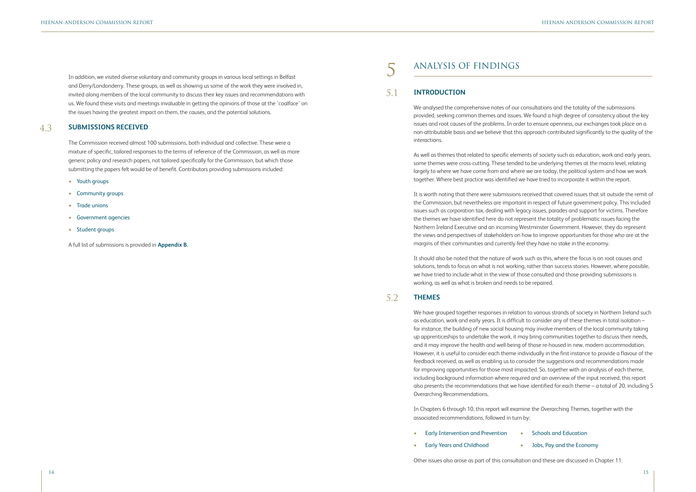In addition, we visited diverse voluntary and community groups in various local settings in Belfast and Derry/Londonderry. These groups, as well as showing us some of the work they were involved in, invited along members of the local community to discuss their key issues and recommendations with us. We found these visits and meetings invaluable in getting the opinions of those at the 'coalface' on the issues having the greatest impact on them, the causes, and the potential solutions.

The Commission received almost 100 submissions, both individual and collective. These were a mixture of specific, tailored responses to the terms of reference of the Commission, as well as more generic policy and research papers, not tailored specifically for the Commission, but which those submitting the papers felt would be of benefit. Contributors providing submissions included:

- Youth groups
- Community groups
- Trade unions
- Government agencies
- Student groups

A full list of submissions is provided in **Appendix B**.

# ANALYSIS OF FINDINGS

We analysed the comprehensive notes of our consultations and the totality of the submissions provided, seeking common themes and issues. We found a high degree of consistency about the key issues and root causes of the problems. In order to ensure openness, our exchanges took place on a non-attributable basis and we believe that this approach contributed significantly to the quality of the interactions.

As well as themes that related to specific elements of society such as education, work and early years, some themes were cross-cutting. These tended to be underlying themes at the macro level, relating largely to where we have come from and where we are today, the political system and how we work together. Where best practice was identified we have tried to incorporate it within the report.

- **Early Intervention and Prevention**
- Early Years and Childhood

It is worth noting that there were submissions received that covered issues that sit outside the remit of the Commission, but nevertheless are important in respect of future government policy. This included issues such as corporation tax, dealing with legacy issues, parades and support for victims. Therefore the themes we have identified here do not represent the totality of problematic issues facing the Northern Ireland Executive and an incoming Westminster Government. However, they do represent the views and perspectives of stakeholders on how to improve opportunities for those who are at the margins of their communities and currently feel they have no stake in the economy.

### **SUBMISSIONS RECEIVED** 4.3

### **INTRODUCTION** 5.1

It should also be noted that the nature of work such as this, where the focus is on root causes and solutions, tends to focus on what is not working, rather than success stories. However, where possible, we have tried to include what in the view of those consulted and those providing submissions is working, as well as what is broken and needs to be repaired.

We have grouped together responses in relation to various strands of society in Northern Ireland such as education, work and early years. It is difficult to consider any of these themes in total isolation – for instance, the building of new social housing may involve members of the local community taking up apprenticeships to undertake the work, it may bring communities together to discuss their needs, and it may improve the health and well-being of those re-housed in new, modern accommodation. However, it is useful to consider each theme individually in the first instance to provide a flavour of the feedback received, as well as enabling us to consider the suggestions and recommendations made for improving opportunities for those most impacted. So, together with an analysis of each theme, including background information where required and an overview of the input received, this report also presents the recommendations that we have identified for each theme – a total of 20, including 5 Overarching Recommendations.

### **THEMES** 5.2

In Chapters 6 through 10, this report will examine the Overarching Themes, together with the associated recommendations, followed in turn by:

Other issues also arose as part of this consultation and these are discussed in Chapter 11.

## • Schools and Education

### • Jobs, Pay and the Economy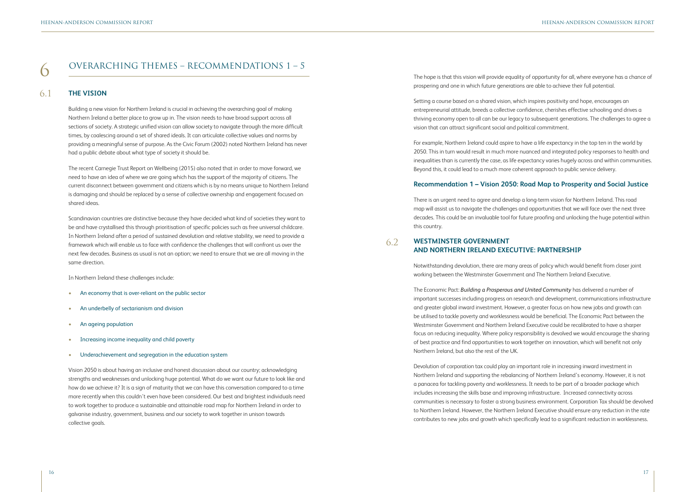# $\sigma$  overarching themes – recommendations 1 – 5

Building a new vision for Northern Ireland is crucial in achieving the overarching goal of making Northern Ireland a better place to grow up in. The vision needs to have broad support across all sections of society. A strategic unified vision can allow society to navigate through the more difficult times, by coalescing around a set of shared ideals. It can articulate collective values and norms by providing a meaningful sense of purpose. As the Civic Forum (2002) noted Northern Ireland has never had a public debate about what type of society it should be.

The recent Carnegie Trust Report on Wellbeing (2015) also noted that in order to move forward, we need to have an idea of where we are going which has the support of the majority of citizens. The current disconnect between government and citizens which is by no means unique to Northern Ireland is damaging and should be replaced by a sense of collective ownership and engagement focused on shared ideas.

Scandinavian countries are distinctive because they have decided what kind of societies they want to be and have crystallised this through prioritisation of specific policies such as free universal childcare. In Northern Ireland after a period of sustained devolution and relative stability, we need to provide a framework which will enable us to face with confidence the challenges that will confront us over the next few decades. Business as usual is not an option; we need to ensure that we are all moving in the same direction.

In Northern Ireland these challenges include:

- An economy that is over-reliant on the public sector
- An underbelly of sectarianism and division
- An ageing population
- Increasing income inequality and child poverty
- Underachievement and segregation in the education system

Vision 2050 is about having an inclusive and honest discussion about our country; acknowledging strengths and weaknesses and unlocking huge potential. What do we want our future to look like and how do we achieve it? It is a sign of maturity that we can have this conversation compared to a time more recently when this couldn't even have been considered. Our best and brightest individuals need to work together to produce a sustainable and attainable road map for Northern Ireland in order to galvanise industry, government, business and our society to work together in unison towards collective goals.

The hope is that this vision will provide equality of opportunity for all, where everyone has a chance of prospering and one in which future generations are able to achieve their full potential.

### **THE VISION** 6.1

Setting a course based on a shared vision, which inspires positivity and hope, encourages an entrepreneurial attitude, breeds a collective confidence, cherishes effective schooling and drives a thriving economy open to all can be our legacy to subsequent generations. The challenges to agree a vision that can attract significant social and political commitment.

For example, Northern Ireland could aspire to have a life expectancy in the top ten in the world by 2050. This in turn would result in much more nuanced and integrated policy responses to health and inequalities than is currently the case, as life expectancy varies hugely across and within communities. Beyond this, it could lead to a much more coherent approach to public service delivery.

# **Recommendation 1 – Vision 2050: Road Map to Prosperity and Social Justice**

There is an urgent need to agree and develop a long-term vision for Northern Ireland. This road map will assist us to navigate the challenges and opportunities that we will face over the next three decades. This could be an invaluable tool for future proofing and unlocking the huge potential within this country.

Notwithstanding devolution, there are many areas of policy which would benefit from closer joint working between the Westminster Government and The Northern Ireland Executive.

The Economic Pact: *Building a Prosperous and United Community* has delivered a number of important successes including progress on research and development, communications infrastructure and greater global inward investment. However, a greater focus on how new jobs and growth can be utilised to tackle poverty and worklessness would be beneficial. The Economic Pact between the Westminster Government and Northern Ireland Executive could be recalibrated to have a sharper focus on reducing inequality. Where policy responsibility is devolved we would encourage the sharing of best practice and find opportunities to work together on innovation, which will benefit not only Northern Ireland, but also the rest of the UK.

### **WESTMINSTER GOVERNMENT AND NORTHERN IRELAND EXECUTIVE: PARTNERSHIP** 6.2

Devolution of corporation tax could play an important role in increasing inward investment in Northern Ireland and supporting the rebalancing of Northern Ireland's economy. However, it is not a panacea for tackling poverty and worklessness. It needs to be part of a broader package which includes increasing the skills base and improving infrastructure. Increased connectivity across communities is necessary to foster a strong business environment. Corporation Tax should be devolved to Northern Ireland. However, the Northern Ireland Executive should ensure any reduction in the rate contributes to new jobs and growth which specifically lead to a significant reduction in worklessness.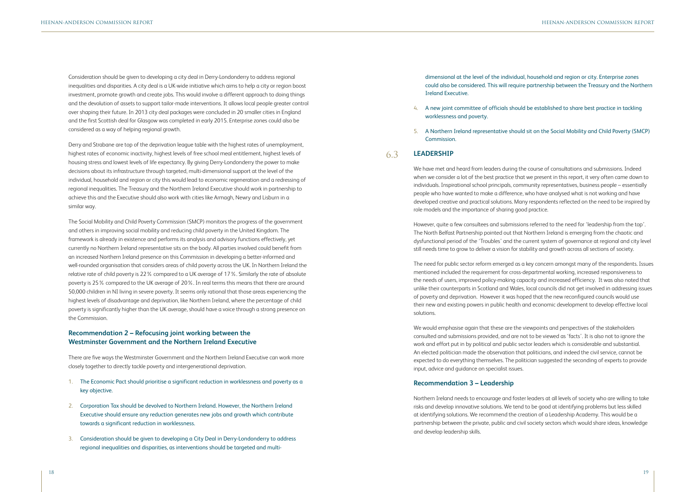Consideration should be given to developing a city deal in Derry-Londonderry to address regional inequalities and disparities. A city deal is a UK-wide initiative which aims to help a city or region boost investment, promote growth and create jobs. This would involve a different approach to doing things and the devolution of assets to support tailor-made interventions. It allows local people greater control over shaping their future. In 2013 city deal packages were concluded in 20 smaller cities in England and the first Scottish deal for Glasgow was completed in early 2015. Enterprise zones could also be considered as a way of helping regional growth.

Derry and Strabane are top of the deprivation league table with the highest rates of unemployment, highest rates of economic inactivity, highest levels of free school meal entitlement, highest levels of housing stress and lowest levels of life expectancy. By giving Derry-Londonderry the power to make decisions about its infrastructure through targeted, multi-dimensional support at the level of the individual, household and region or city this would lead to economic regeneration and a redressing of regional inequalities. The Treasury and the Northern Ireland Executive should work in partnership to achieve this and the Executive should also work with cities like Armagh, Newry and Lisburn in a similar way.

The Social Mobility and Child Poverty Commission (SMCP) monitors the progress of the government and others in improving social mobility and reducing child poverty in the United Kingdom. The framework is already in existence and performs its analysis and advisory functions effectively, yet currently no Northern Ireland representative sits on the body. All parties involved could benefit from an increased Northern Ireland presence on this Commission in developing a better-informed and well-rounded organisation that considers areas of child poverty across the UK. In Northern Ireland the relative rate of child poverty is 22% compared to a UK average of 17%. Similarly the rate of absolute poverty is 25% compared to the UK average of 20%. In real terms this means that there are around 50,000 children in NI living in severe poverty. It seems only rational that those areas experiencing the highest levels of disadvantage and deprivation, like Northern Ireland, where the percentage of child poverty is significantly higher than the UK average, should have a voice through a strong presence on the Commission.

# **Recommendation 2 – Refocusing joint working between the Westminster Government and the Northern Ireland Executive**

There are five ways the Westminster Government and the Northern Ireland Executive can work more closely together to directly tackle poverty and intergenerational deprivation.

- 1. The Economic Pact should prioritise a significant reduction in worklessness and poverty as a key objective.
- 2. Corporation Tax should be devolved to Northern Ireland. However, the Northern Ireland Executive should ensure any reduction generates new jobs and growth which contribute towards a significant reduction in worklessness.
- 3. Consideration should be given to developing a City Deal in Derry-Londonderry to address regional inequalities and disparities, as interventions should be targeted and multi-

## dimensional at the level of the individual, household and region or city. Enterprise zones could also be considered. This will require partnership between the Treasury and the Northern

Ireland Executive.

### 4. A new joint committee of officials should be established to share best practice in tackling

- worklessness and poverty.
- Commission.

### 5. A Northern Ireland representative should sit on the Social Mobility and Child Poverty (SMCP)

We have met and heard from leaders during the course of consultations and submissions. Indeed when we consider a lot of the best practice that we present in this report, it very often came down to individuals. Inspirational school principals, community representatives, business people – essentially people who have wanted to make a difference, who have analysed what is not working and have developed creative and practical solutions. Many respondents reflected on the need to be inspired by role models and the importance of sharing good practice.

However, quite a few consultees and submissions referred to the need for 'leadership from the top'. The North Belfast Partnership pointed out that Northern Ireland is emerging from the chaotic and dysfunctional period of the 'Troubles' and the current system of governance at regional and city level still needs time to grow to deliver a vision for stability and growth across all sections of society.

The need for public sector reform emerged as a key concern amongst many of the respondents. Issues mentioned included the requirement for cross-departmental working, increased responsiveness to the needs of users, improved policy-making capacity and increased efficiency. It was also noted that unlike their counterparts in Scotland and Wales, local councils did not get involved in addressing issues of poverty and deprivation. However it was hoped that the new reconfigured councils would use their new and existing powers in public health and economic development to develop effective local solutions.

### **LEADERSHIP** 6.3

We would emphasise again that these are the viewpoints and perspectives of the stakeholders consulted and submissions provided, and are not to be viewed as 'facts'. It is also not to ignore the work and effort put in by political and public sector leaders which is considerable and substantial. An elected politician made the observation that politicians, and indeed the civil service, cannot be expected to do everything themselves. The politician suggested the seconding of experts to provide input, advice and guidance on specialist issues.

## **Recommendation 3 – Leadership**

Northern Ireland needs to encourage and foster leaders at all levels of society who are willing to take risks and develop innovative solutions. We tend to be good at identifying problems but less skilled at identifying solutions. We recommend the creation of a Leadership Academy. This would be a partnership between the private, public and civil society sectors which would share ideas, knowledge and develop leadership skills.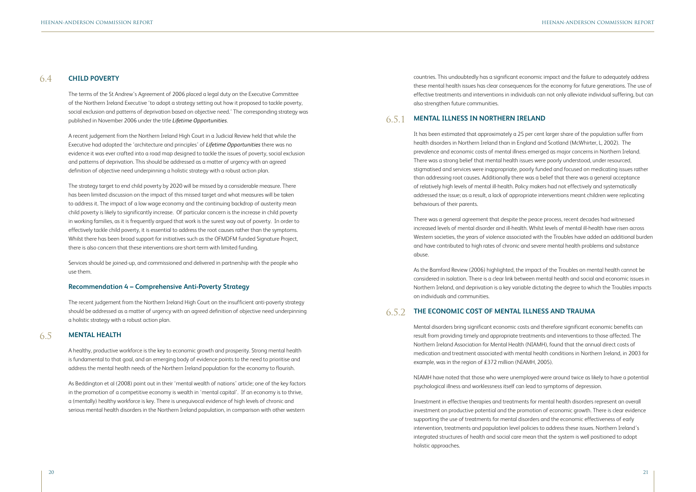The terms of the St Andrew's Agreement of 2006 placed a legal duty on the Executive Committee of the Northern Ireland Executive 'to adopt a strategy setting out how it proposed to tackle poverty, social exclusion and patterns of deprivation based on objective need.' The corresponding strategy was published in November 2006 under the title *Lifetime Opportunities*.

A recent judgement from the Northern Ireland High Court in a Judicial Review held that while the Executive had adopted the 'architecture and principles' of *Lifetime Opportunities* there was no evidence it was ever crafted into a road map designed to tackle the issues of poverty, social exclusion and patterns of deprivation. This should be addressed as a matter of urgency with an agreed definition of objective need underpinning a holistic strategy with a robust action plan.

The strategy target to end child poverty by 2020 will be missed by a considerable measure. There has been limited discussion on the impact of this missed target and what measures will be taken to address it. The impact of a low wage economy and the continuing backdrop of austerity mean child poverty is likely to significantly increase. Of particular concern is the increase in child poverty in working families, as it is frequently argued that work is the surest way out of poverty. In order to effectively tackle child poverty, it is essential to address the root causes rather than the symptoms. Whilst there has been broad support for initiatives such as the OFMDFM funded Signature Project, there is also concern that these interventions are short-term with limited funding.

Services should be joined-up, and commissioned and delivered in partnership with the people who use them.

### **Recommendation 4 – Comprehensive Anti-Poverty Strategy**

The recent judgement from the Northern Ireland High Court on the insufficient anti-poverty strategy should be addressed as a matter of urgency with an agreed definition of objective need underpinning a holistic strategy with a robust action plan.

A healthy, productive workforce is the key to economic growth and prosperity. Strong mental health is fundamental to that goal, and an emerging body of evidence points to the need to prioritise and address the mental health needs of the Northern Ireland population for the economy to flourish.

As Beddington et al (2008) point out in their 'mental wealth of nations' article; one of the key factors in the promotion of a competitive economy is wealth in 'mental capital'. If an economy is to thrive, a (mentally) healthy workforce is key. There is unequivocal evidence of high levels of chronic and serious mental health disorders in the Northern Ireland population, in comparison with other western

countries. This undoubtedly has a significant economic impact and the failure to adequately address these mental health issues has clear consequences for the economy for future generations. The use of effective treatments and interventions in individuals can not only alleviate individual suffering, but can also strengthen future communities.

### **CHILD POVERTY** 6.4

It has been estimated that approximately a 25 per cent larger share of the population suffer from health disorders in Northern Ireland than in England and Scotland (McWhirter, L, 2002). The prevalence and economic costs of mental illness emerged as major concerns in Northern Ireland. There was a strong belief that mental health issues were poorly understood, under resourced, stigmatised and services were inappropriate, poorly funded and focused on medicating issues rather than addressing root causes. Additionally there was a belief that there was a general acceptance of relatively high levels of mental ill-health. Policy makers had not effectively and systematically addressed the issue; as a result, a lack of appropriate interventions meant children were replicating behaviours of their parents.

### **MENTAL HEALTH** 6.5

There was a general agreement that despite the peace process, recent decades had witnessed increased levels of mental disorder and ill-health. Whilst levels of mental ill-health have risen across Western societies, the years of violence associated with the Troubles have added an additional burden and have contributed to high rates of chronic and severe mental health problems and substance abuse.

### **MENTAL ILLNESS IN NORTHERN IRELAND** 6.5.1

As the Bamford Review (2006) highlighted, the impact of the Troubles on mental health cannot be considered in isolation. There is a clear link between mental health and social and economic issues in Northern Ireland, and deprivation is a key variable dictating the degree to which the Troubles impacts on individuals and communities.

Mental disorders bring significant economic costs and therefore significant economic benefits can result from providing timely and appropriate treatments and interventions to those affected. The Northern Ireland Association for Mental Health (NIAMH), found that the annual direct costs of medication and treatment associated with mental health conditions in Northern Ireland, in 2003 for example, was in the region of £372 million (NIAMH, 2005).

NIAMH have noted that those who were unemployed were around twice as likely to have a potential psychological illness and worklessness itself can lead to symptoms of depression.

# **THE ECONOMIC COST OF MENTAL ILLNESS AND TRAUMA**  6.5.2

Investment in effective therapies and treatments for mental health disorders represent an overall investment on productive potential and the promotion of economic growth. There is clear evidence supporting the use of treatments for mental disorders and the economic effectiveness of early intervention, treatments and population level policies to address these issues. Northern Ireland's integrated structures of health and social care mean that the system is well positioned to adopt holistic approaches.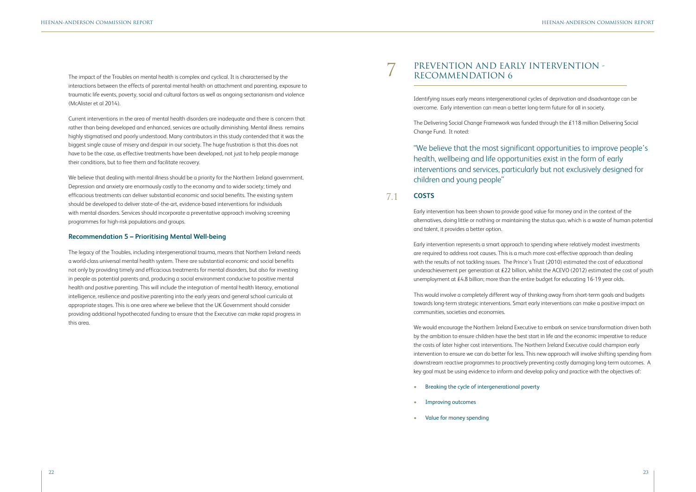The impact of the Troubles on mental health is complex and cyclical. It is characterised by the interactions between the effects of parental mental health on attachment and parenting, exposure to traumatic life events, poverty, social and cultural factors as well as ongoing sectarianism and violence (McAlister et al 2014).

Current interventions in the area of mental health disorders are inadequate and there is concern that rather than being developed and enhanced, services are actually diminishing. Mental illness remains highly stigmatised and poorly understood. Many contributors in this study contended that it was the biggest single cause of misery and despair in our society. The huge frustration is that this does not have to be the case, as effective treatments have been developed, not just to help people manage their conditions, but to free them and facilitate recovery.

We believe that dealing with mental illness should be a priority for the Northern Ireland government. Depression and anxiety are enormously costly to the economy and to wider society; timely and efficacious treatments can deliver substantial economic and social benefits. The existing system should be developed to deliver state-of-the-art, evidence-based interventions for individuals with mental disorders. Services should incorporate a preventative approach involving screening programmes for high-risk populations and groups.

### **Recommendation 5 – Prioritising Mental Well-being**

Early intervention represents a smart approach to spending where relatively modest investments are required to address root causes. This is a much more cost-effective approach than dealing with the results of not tackling issues. The Prince's Trust (2010) estimated the cost of educational underachievement per generation at £22 billion, whilst the ACEVO (2012) estimated the cost of youth unemployment at £4.8 billion; more than the entire budget for educating 16-19 year olds.

The legacy of the Troubles, including intergenerational trauma, means that Northern Ireland needs a world-class universal mental health system. There are substantial economic and social benefits not only by providing timely and efficacious treatments for mental disorders, but also for investing in people as potential parents and, producing a social environment conducive to positive mental health and positive parenting. This will include the integration of mental health literacy, emotional intelligence, resilience and positive parenting into the early years and general school curricula at appropriate stages. This is one area where we believe that the UK Government should consider providing additional hypothecated funding to ensure that the Executive can make rapid progress in this area.

# PREVENTION AND EARLY INTERVENTION -<br>RECOMMENDATION 6

Identifying issues early means intergenerational cycles of deprivation and disadvantage can be overcome. Early intervention can mean a better long-term future for all in society.

The Delivering Social Change Framework was funded through the £118 million Delivering Social Change Fund. It noted:

# "We believe that the most significant opportunities to improve people's interventions and services, particularly but not exclusively designed for

health, wellbeing and life opportunities exist in the form of early children and young people"

Early intervention has been shown to provide good value for money and in the context of the alternatives, doing little or nothing or maintaining the status quo, which is a waste of human potential and talent, it provides a better option.

This would involve a completely different way of thinking away from short-term goals and budgets towards long-term strategic interventions. Smart early interventions can make a positive impact on communities, societies and economies.

### **COSTS** 7.1

We would encourage the Northern Ireland Executive to embark on service transformation driven both by the ambition to ensure children have the best start in life and the economic imperative to reduce the costs of later higher cost interventions. The Northern Ireland Executive could champion early intervention to ensure we can do better for less. This new approach will involve shifting spending from downstream reactive programmes to proactively preventing costly damaging long-term outcomes. A key goal must be using evidence to inform and develop policy and practice with the objectives of:

- Breaking the cycle of intergenerational poverty
- Improving outcomes
- Value for money spending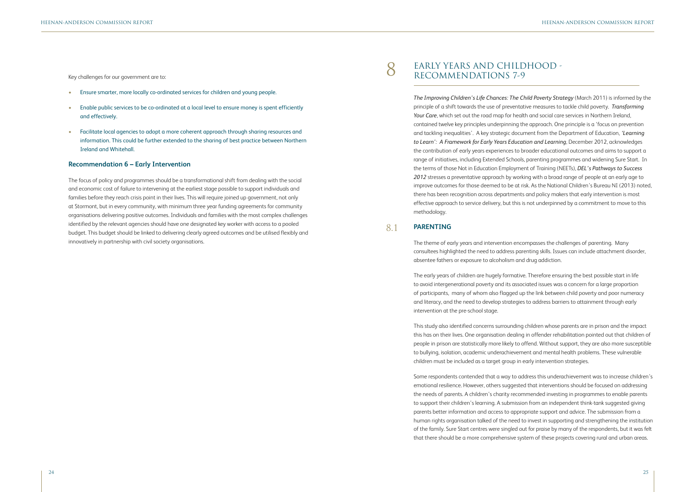Key challenges for our government are to:

- Ensure smarter, more locally co-ordinated services for children and young people.
- Enable public services to be co-ordinated at a local level to ensure money is spent efficiently and effectively.
- Facilitate local agencies to adopt a more coherent approach through sharing resources and information. This could be further extended to the sharing of best practice between Northern Ireland and Whitehall.

### **Recommendation 6 – Early Intervention**

The focus of policy and programmes should be a transformational shift from dealing with the social and economic cost of failure to intervening at the earliest stage possible to support individuals and families before they reach crisis point in their lives. This will require joined up government, not only at Stormont, but in every community, with minimum three year funding agreements for community organisations delivering positive outcomes. Individuals and families with the most complex challenges identified by the relevant agencies should have one designated key worker with access to a pooled budget. This budget should be linked to delivering clearly agreed outcomes and be utilised flexibly and innovatively in partnership with civil society organisations.

*The Improving Children's Life Chances: The Child Poverty Strategy* (March 2011) is informed by the principle of a shift towards the use of preventative measures to tackle child poverty. *Transforming Your Care*, which set out the road map for health and social care services in Northern Ireland, contained twelve key principles underpinning the approach. One principle is a 'focus on prevention and tackling inequalities'. A key strategic document from the Department of Education, *'Learning to Learn': A Framework for Early Years Education and Learning*, December 2012, acknowledges the contribution of early years experiences to broader educational outcomes and aims to support a range of initiatives, including Extended Schools, parenting programmes and widening Sure Start. In the terms of those Not in Education Employment of Training (NEETs), *DEL's Pathways to Success 2012* stresses a preventative approach by working with a broad range of people at an early age to improve outcomes for those deemed to be at risk. As the National Children's Bureau NI (2013) noted, there has been recognition across departments and policy makers that early intervention is most effective approach to service delivery, but this is not underpinned by a commitment to move to this methodology.

# 8 EARLY YEARS AND CHILDHOOD -RECOMMENDATIONS 7-9

The theme of early years and intervention encompasses the challenges of parenting. Many consultees highlighted the need to address parenting skills. Issues can include attachment disorder, absentee fathers or exposure to alcoholism and drug addiction.

The early years of children are hugely formative. Therefore ensuring the best possible start in life to avoid intergenerational poverty and its associated issues was a concern for a large proportion of participants, many of whom also flagged up the link between child poverty and poor numeracy and literacy, and the need to develop strategies to address barriers to attainment through early intervention at the pre-school stage.

This study also identified concerns surrounding children whose parents are in prison and the impact this has on their lives. One organisation dealing in offender rehabilitation pointed out that children of people in prison are statistically more likely to offend. Without support, they are also more susceptible to bullying, isolation, academic underachievement and mental health problems. These vulnerable children must be included as a target group in early intervention strategies.

### **PARENTING** 8.1

Some respondents contended that a way to address this underachievement was to increase children's emotional resilience. However, others suggested that interventions should be focused on addressing the needs of parents. A children's charity recommended investing in programmes to enable parents to support their children's learning. A submission from an independent think-tank suggested giving parents better information and access to appropriate support and advice. The submission from a human rights organisation talked of the need to invest in supporting and strengthening the institution of the family. Sure Start centres were singled out for praise by many of the respondents, but it was felt that there should be a more comprehensive system of these projects covering rural and urban areas.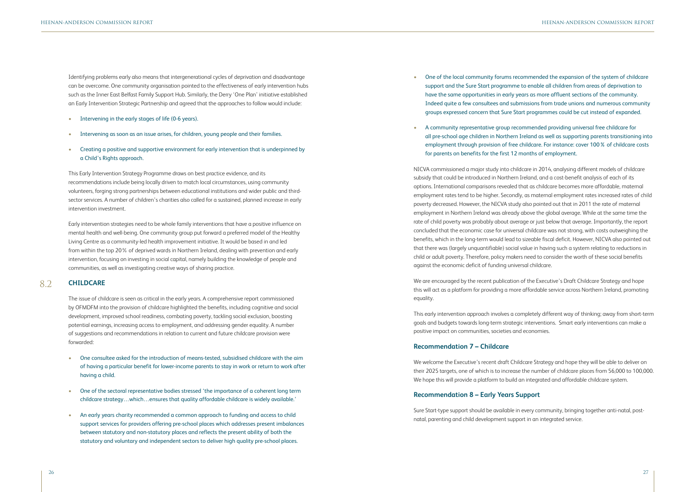Identifying problems early also means that intergenerational cycles of deprivation and disadvantage can be overcome. One community organisation pointed to the effectiveness of early intervention hubs such as the Inner East Belfast Family Support Hub. Similarly, the Derry 'One Plan' initiative established an Early Intervention Strategic Partnership and agreed that the approaches to follow would include:

- Intervening in the early stages of life (0-6 years).
- Intervening as soon as an issue arises, for children, young people and their families.
- Creating a positive and supportive environment for early intervention that is underpinned by a Child's Rights approach.

This Early Intervention Strategy Programme draws on best practice evidence, and its recommendations include being locally driven to match local circumstances, using community volunteers, forging strong partnerships between educational institutions and wider public and thirdsector services. A number of children's charities also called for a sustained, planned increase in early intervention investment.

Early intervention strategies need to be whole family interventions that have a positive influence on mental health and well-being. One community group put forward a preferred model of the Healthy Living Centre as a community-led health improvement initiative. It would be based in and led from within the top 20% of deprived wards in Northern Ireland, dealing with prevention and early intervention, focusing on investing in social capital, namely building the knowledge of people and communities, as well as investigating creative ways of sharing practice.

The issue of childcare is seen as critical in the early years. A comprehensive report commissioned by OFMDFM into the provision of childcare highlighted the benefits, including cognitive and social development, improved school readiness, combating poverty, tackling social exclusion, boosting potential earnings, increasing access to employment, and addressing gender equality. A number of suggestions and recommendations in relation to current and future childcare provision were forwarded:

- One consultee asked for the introduction of means-tested, subsidised childcare with the aim of having a particular benefit for lower-income parents to stay in work or return to work after having a child.
- One of the sectoral representative bodies stressed 'the importance of a coherent long term childcare strategy…which…ensures that quality affordable childcare is widely available.'
- An early years charity recommended a common approach to funding and access to child support services for providers offering pre-school places which addresses present imbalances between statutory and non-statutory places and reflects the present ability of both the statutory and voluntary and independent sectors to deliver high quality pre-school places.

• One of the local community forums recommended the expansion of the system of childcare support and the Sure Start programme to enable all children from areas of deprivation to have the same opportunities in early years as more affluent sections of the community. Indeed quite a few consultees and submissions from trade unions and numerous community groups expressed concern that Sure Start programmes could be cut instead of expanded.

- 
- A community representative group recommended providing universal free childcare for for parents on benefits for the first 12 months of employment.

all pre-school age children in Northern Ireland as well as supporting parents transitioning into employment through provision of free childcare. For instance: cover 100% of childcare costs

### **CHILDCARE** 8.2

NICVA commissioned a major study into childcare in 2014, analysing different models of childcare subsidy that could be introduced in Northern Ireland, and a cost-benefit analysis of each of its options. International comparisons revealed that as childcare becomes more affordable, maternal employment rates tend to be higher. Secondly, as maternal employment rates increased rates of child poverty decreased. However, the NICVA study also pointed out that in 2011 the rate of maternal employment in Northern Ireland was already above the global average. While at the same time the rate of child poverty was probably about average or just below that average. Importantly, the report concluded that the economic case for universal childcare was not strong, with costs outweighing the benefits, which in the long-term would lead to sizeable fiscal deficit. However, NICVA also pointed out that there was (largely unquantifiable) social value in having such a system relating to reductions in child or adult poverty. Therefore, policy makers need to consider the worth of these social benefits against the economic deficit of funding universal childcare.

We are encouraged by the recent publication of the Executive's Draft Childcare Strategy and hope this will act as a platform for providing a more affordable service across Northern Ireland, promoting equality.

This early intervention approach involves a completely different way of thinking; away from short-term goals and budgets towards long-term strategic interventions. Smart early interventions can make a positive impact on communities, societies and economies.

## **Recommendation 7 – Childcare**

We welcome the Executive's recent draft Childcare Strategy and hope they will be able to deliver on their 2025 targets, one of which is to increase the number of childcare places from 56,000 to 100,000. We hope this will provide a platform to build an integrated and affordable childcare system.

## **Recommendation 8 – Early Years Support**

Sure Start-type support should be available in every community, bringing together anti-natal, postnatal, parenting and child development support in an integrated service.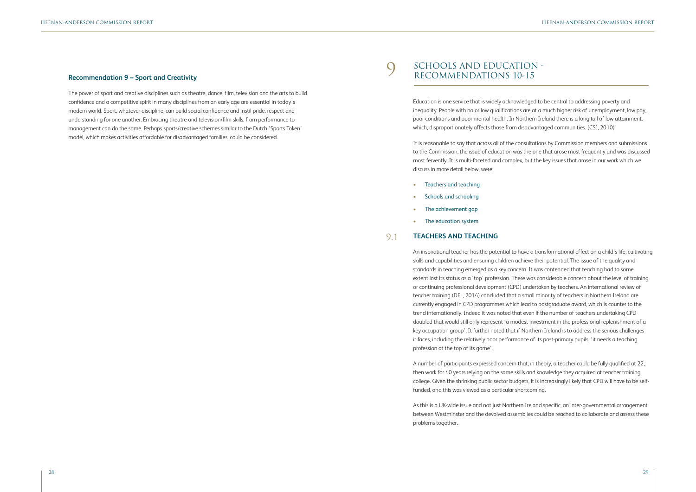### **Recommendation 9 – Sport and Creativity**

The power of sport and creative disciplines such as theatre, dance, film, television and the arts to build confidence and a competitive spirit in many disciplines from an early age are essential in today's modern world. Sport, whatever discipline, can build social confidence and instil pride, respect and understanding for one another. Embracing theatre and television/film skills, from performance to management can do the same. Perhaps sports/creative schemes similar to the Dutch 'Sports Token' model, which makes activities affordable for disadvantaged families, could be considered.

Education is one service that is widely acknowledged to be central to addressing poverty and inequality. People with no or low qualifications are at a much higher risk of unemployment, low pay, poor conditions and poor mental health. In Northern Ireland there is a long tail of low attainment, which, disproportionately affects those from disadvantaged communities. (CSJ, 2010)

It is reasonable to say that across all of the consultations by Commission members and submissions to the Commission, the issue of education was the one that arose most frequently and was discussed most fervently. It is multi-faceted and complex, but the key issues that arose in our work which we discuss in more detail below, were:

- Teachers and teaching
- Schools and schooling
- The achievement gap
- The education system

An inspirational teacher has the potential to have a transformational effect on a child's life, cultivating skills and capabilities and ensuring children achieve their potential. The issue of the quality and standards in teaching emerged as a key concern. It was contended that teaching had to some extent lost its status as a 'top' profession. There was considerable concern about the level of training or continuing professional development (CPD) undertaken by teachers. An international review of teacher training (DEL, 2014) concluded that a small minority of teachers in Northern Ireland are currently engaged in CPD programmes which lead to postgraduate award, which is counter to the trend internationally. Indeed it was noted that even if the number of teachers undertaking CPD doubled that would still only represent 'a modest investment in the professional replenishment of a key occupation group'. It further noted that if Northern Ireland is to address the serious challenges it faces, including the relatively poor performance of its post-primary pupils, 'it needs a teaching profession at the top of its game'.

### **TEACHERS AND TEACHING** 9.1

A number of participants expressed concern that, in theory, a teacher could be fully qualified at 22, then work for 40 years relying on the same skills and knowledge they acquired at teacher training college. Given the shrinking public sector budgets, it is increasingly likely that CPD will have to be selffunded, and this was viewed as a particular shortcoming.

As this is a UK-wide issue and not just Northern Ireland specific, an inter-governmental arrangement between Westminster and the devolved assemblies could be reached to collaborate and assess these problems together.

# SCHOOLS AND EDUCATION - RECOMMENDATIONS 10-15

 $\bigcirc$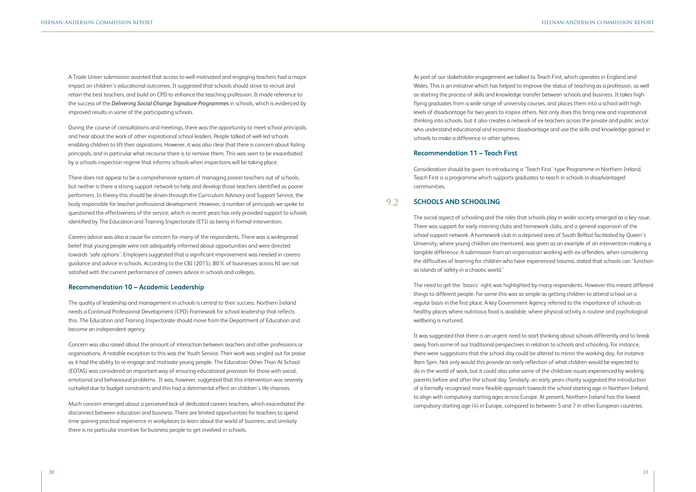A Trade Union submission asserted that access to well-motivated and engaging teachers had a major impact on children's educational outcomes. It suggested that schools should strive to recruit and retain the best teachers, and build on CPD to enhance the teaching profession. It made reference to the success of the *Delivering Social Change Signature Programmes* in schools, which is evidenced by improved results in some of the participating schools.

During the course of consultations and meetings, there was the opportunity to meet school principals, and hear about the work of other inspirational school leaders. People talked of well-led schools enabling children to lift their aspirations. However, it was also clear that there is concern about failing principals, and in particular what recourse there is to remove them. This was seen to be exacerbated by a schools inspection regime that informs schools when inspections will be taking place.

There does not appear to be a comprehensive system of managing poorer teachers out of schools, but neither is there a strong support network to help and develop those teachers identified as poorer performers. In theory this should be driven through the Curriculum Advisory and Support Service, the body responsible for teacher professional development. However, a number of principals we spoke to questioned the effectiveness of the service, which in recent years has only provided support to schools identified by The Education and Training Inspectorate (ETI) as being in formal intervention.

Careers advice was also a cause for concern for many of the respondents. There was a widespread belief that young people were not adequately informed about opportunities and were directed towards 'safe options'. Employers suggested that a significant improvement was needed in careers guidance and advice in schools. According to the CBI (2015), 80% of businesses across NI are not satisfied with the current performance of careers advice in schools and colleges.

### **Recommendation 10 – Academic Leadership**

The quality of leadership and management in schools is central to their success. Northern Ireland needs a Continual Professional Development (CPD) Framework for school leadership that reflects this. The Education and Training Inspectorate should move from the Department of Education and become an independent agency.

Concern was also raised about the amount of interaction between teachers and other professions or organisations. A notable exception to this was the Youth Service. Their work was singled out for praise as it had the ability to re-engage and motivate young people. The Education Other Than At School (EOTAS) was considered an important way of ensuring educational provision for those with social, emotional and behavioural problems. It was, however, suggested that this intervention was severely curtailed due to budget constraints and this had a detrimental effect on children's life chances.

Much concern emerged about a perceived lack of dedicated careers teachers, which exacerbated the disconnect between education and business. There are limited opportunities for teachers to spend time gaining practical experience in workplaces to learn about the world of business, and similarly there is no particular incentive for business people to get involved in schools.

As part of our stakeholder engagement we talked to Teach First, which operates in England and Wales. This is an initiative which has helped to improve the status of teaching as a profession, as well as starting the process of skills and knowledge transfer between schools and business. It takes highflying graduates from a wide range of university courses, and places them into a school with high levels of disadvantage for two years to inspire others. Not only does this bring new and inspirational thinking into schools, but it also creates a network of ex-teachers across the private and public sector who understand educational and economic disadvantage and use the skills and knowledge gained in schools to make a difference in other spheres.

### **Recommendation 11 – Teach First**

Consideration should be given to introducing a 'Teach First'-type Programme in Northern Ireland. Teach First is a programme which supports graduates to teach in schools in disadvantaged communities.

The social aspect of schooling and the roles that schools play in wider society emerged as a key issue. There was support for early morning clubs and homework clubs, and a general expansion of the school support network. A homework club in a deprived area of South Belfast facilitated by Queen's University, where young children are mentored, was given as an example of an intervention making a tangible difference. A submission from an organisation working with ex-offenders, when considering the difficulties of learning for children who have experienced trauma, stated that schools can 'function as islands of safety in a chaotic world.'

The need to get the 'basics' right was highlighted by many respondents. However this meant different things to different people. For some this was as simple as getting children to attend school on a regular basis in the first place. A key Government Agency referred to the importance of schools as healthy places where nutritious food is available, where physical activity is routine and psychological wellbeing is nurtured.

### **SCHOOLS AND SCHOOLING** 9.2

It was suggested that there is an urgent need to start thinking about schools differently and to break away from some of our traditional perspectives in relation to schools and schooling. For instance, there were suggestions that the school day could be altered to mirror the working day, for instance 9am-5pm. Not only would this provide an early reflection of what children would be expected to do in the world of work, but it could also solve some of the childcare issues experienced by working parents before and after the school day. Similarly, an early years charity suggested the introduction of a formally recognised more flexible approach towards the school starting age in Northern Ireland, to align with compulsory starting ages across Europe. At present, Northern Ireland has the lowest compulsory starting age (4) in Europe, compared to between 5 and 7 in other European countries.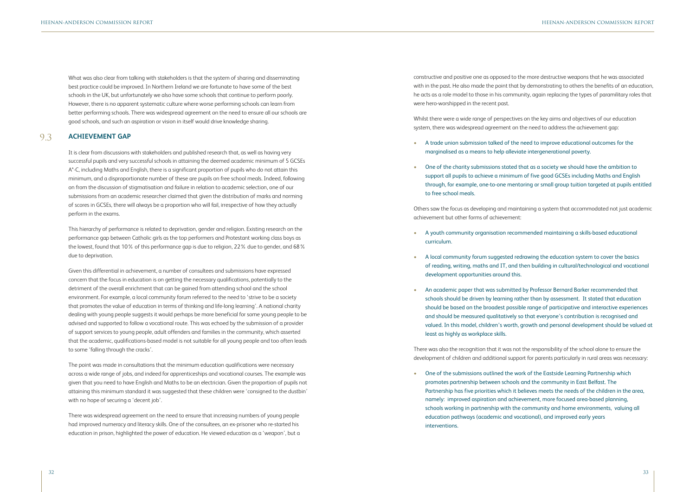What was also clear from talking with stakeholders is that the system of sharing and disseminating best practice could be improved. In Northern Ireland we are fortunate to have some of the best schools in the UK, but unfortunately we also have some schools that continue to perform poorly. However, there is no apparent systematic culture where worse performing schools can learn from better performing schools. There was widespread agreement on the need to ensure all our schools are good schools, and such an aspiration or vision in itself would drive knowledge sharing.

It is clear from discussions with stakeholders and published research that, as well as having very successful pupils and very successful schools in attaining the deemed academic minimum of 5 GCSEs A\*-C, including Maths and English, there is a significant proportion of pupils who do not attain this minimum, and a disproportionate number of these are pupils on free school meals. Indeed, following on from the discussion of stigmatisation and failure in relation to academic selection, one of our submissions from an academic researcher claimed that given the distribution of marks and norming of scores in GCSEs, there will always be a proportion who will fail, irrespective of how they actually perform in the exams.

This hierarchy of performance is related to deprivation, gender and religion. Existing research on the performance gap between Catholic girls as the top performers and Protestant working class boys as the lowest, found that 10% of this performance gap is due to religion, 22% due to gender, and 68% due to deprivation.

Given this differential in achievement, a number of consultees and submissions have expressed concern that the focus in education is on getting the necessary qualifications, potentially to the detriment of the overall enrichment that can be gained from attending school and the school environment. For example, a local community forum referred to the need to 'strive to be a society that promotes the value of education in terms of thinking and life-long learning'. A national charity dealing with young people suggests it would perhaps be more beneficial for some young people to be advised and supported to follow a vocational route. This was echoed by the submission of a provider of support services to young people, adult offenders and families in the community, which asserted that the academic, qualifications-based model is not suitable for all young people and too often leads to some 'falling through the cracks'.

The point was made in consultations that the minimum education qualifications were necessary across a wide range of jobs, and indeed for apprenticeships and vocational courses. The example was given that you need to have English and Maths to be an electrician. Given the proportion of pupils not attaining this minimum standard it was suggested that these children were 'consigned to the dustbin' with no hope of securing a 'decent job'.

There was widespread agreement on the need to ensure that increasing numbers of young people had improved numeracy and literacy skills. One of the consultees, an ex-prisoner who re-started his education in prison, highlighted the power of education. He viewed education as a 'weapon', but a

### **ACHIEVEMENT GAP** 9.3

constructive and positive one as opposed to the more destructive weapons that he was associated with in the past. He also made the point that by demonstrating to others the benefits of an education, he acts as a role model to those in his community, again replacing the types of paramilitary roles that were hero-worshipped in the recent past.

Whilst there were a wide range of perspectives on the key aims and objectives of our education system, there was widespread agreement on the need to address the achievement gap:

- A trade union submission talked of the need to improve educational outcomes for the marginalised as a means to help alleviate intergenerational poverty.
- to free school meals.

• One of the charity submissions stated that as a society we should have the ambition to support all pupils to achieve a minimum of five good GCSEs including Maths and English through, for example, one-to-one mentoring or small group tuition targeted at pupils entitled

Others saw the focus as developing and maintaining a system that accommodated not just academic achievement but other forms of achievement:

• A youth community organisation recommended maintaining a skills-based educational

• A local community forum suggested redrawing the education system to cover the basics of reading, writing, maths and IT, and then building in cultural/technological and vocational

- curriculum.
- development opportunities around this.
- least as highly as workplace skills.

• An academic paper that was submitted by Professor Bernard Barker recommended that schools should be driven by learning rather than by assessment. It stated that education should be based on the broadest possible range of participative and interactive experiences and should be measured qualitatively so that everyone's contribution is recognised and valued. In this model, children's worth, growth and personal development should be valued at

There was also the recognition that it was not the responsibility of the school alone to ensure the development of children and additional support for parents particularly in rural areas was necessary:

• One of the submissions outlined the work of the Eastside Learning Partnership which promotes partnership between schools and the community in East Belfast. The education pathways (academic and vocational), and improved early years interventions.

Partnership has five priorities which it believes meets the needs of the children in the area, namely: improved aspiration and achievement, more focused area-based planning, schools working in partnership with the community and home environments, valuing all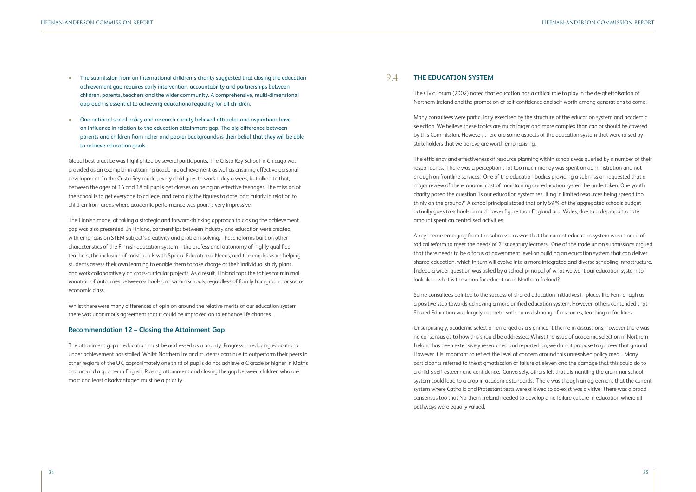- The submission from an international children's charity suggested that closing the education achievement gap requires early intervention, accountability and partnerships between children, parents, teachers and the wider community. A comprehensive, multi-dimensional approach is essential to achieving educational equality for all children.
- One national social policy and research charity believed attitudes and aspirations have an influence in relation to the education attainment gap. The big difference between parents and children from richer and poorer backgrounds is their belief that they will be able to achieve education goals.

Global best practice was highlighted by several participants. The Cristo Rey School in Chicago was provided as an exemplar in attaining academic achievement as well as ensuring effective personal development. In the Cristo Rey model, every child goes to work a day a week, but allied to that, between the ages of 14 and 18 all pupils get classes on being an effective teenager. The mission of the school is to get everyone to college, and certainly the figures to date, particularly in relation to children from areas where academic performance was poor, is very impressive.

The Finnish model of taking a strategic and forward-thinking approach to closing the achievement gap was also presented. In Finland, partnerships between industry and education were created, with emphasis on STEM subject's creativity and problem-solving. These reforms built on other characteristics of the Finnish education system – the professional autonomy of highly qualified teachers, the inclusion of most pupils with Special Educational Needs, and the emphasis on helping students assess their own learning to enable them to take charge of their individual study plans and work collaboratively on cross-curricular projects. As a result, Finland tops the tables for minimal variation of outcomes between schools and within schools, regardless of family background or socioeconomic class.

Whilst there were many differences of opinion around the relative merits of our education system there was unanimous agreement that it could be improved on to enhance life chances.

## **Recommendation 12 – Closing the Attainment Gap**

The attainment gap in education must be addressed as a priority. Progress in reducing educational under achievement has stalled. Whilst Northern Ireland students continue to outperform their peers in other regions of the UK, approximately one third of pupils do not achieve a C grade or higher in Maths and around a quarter in English. Raising attainment and closing the gap between children who are most and least disadvantaged must be a priority.

The Civic Forum (2002) noted that education has a critical role to play in the de-ghettoisation of Northern Ireland and the promotion of self-confidence and self-worth among generations to come.

Many consultees were particularly exercised by the structure of the education system and academic selection. We believe these topics are much larger and more complex than can or should be covered by this Commission. However, there are some aspects of the education system that were raised by stakeholders that we believe are worth emphasising.

The efficiency and effectiveness of resource planning within schools was queried by a number of their respondents. There was a perception that too much money was spent on administration and not enough on frontline services. One of the education bodies providing a submission requested that a major review of the economic cost of maintaining our education system be undertaken. One youth charity posed the question 'is our education system resulting in limited resources being spread too thinly on the ground?' A school principal stated that only 59% of the aggregated schools budget actually goes to schools, a much lower figure than England and Wales, due to a disproportionate amount spent on centralised activities.

### **THE EDUCATION SYSTEM** 9.4

A key theme emerging from the submissions was that the current education system was in need of radical reform to meet the needs of 21st century learners. One of the trade union submissions argued that there needs to be a focus at government level on building an education system that can deliver shared education, which in turn will evolve into a more integrated and diverse schooling infrastructure. Indeed a wider question was asked by a school principal of what we want our education system to look like – what is the vision for education in Northern Ireland?

Some consultees pointed to the success of shared education initiatives in places like Fermanagh as a positive step towards achieving a more unified education system. However, others contended that Shared Education was largely cosmetic with no real sharing of resources, teaching or facilities.

Unsurprisingly, academic selection emerged as a significant theme in discussions, however there was no consensus as to how this should be addressed. Whilst the issue of academic selection in Northern Ireland has been extensively researched and reported on, we do not propose to go over that ground. However it is important to reflect the level of concern around this unresolved policy area. Many participants referred to the stigmatisation of failure at eleven and the damage that this could do to a child's self-esteem and confidence. Conversely, others felt that dismantling the grammar school system could lead to a drop in academic standards. There was though an agreement that the current system where Catholic and Protestant tests were allowed to co-exist was divisive. There was a broad consensus too that Northern Ireland needed to develop a no failure culture in education where all pathways were equally valued.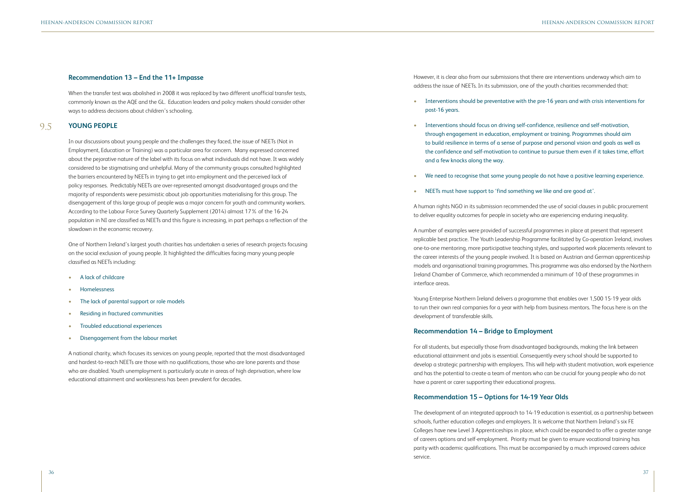### **Recommendation 13 – End the 11+ Impasse**

When the transfer test was abolished in 2008 it was replaced by two different unofficial transfer tests, commonly known as the AQE and the GL. Education leaders and policy makers should consider other ways to address decisions about children's schooling.

In our discussions about young people and the challenges they faced, the issue of NEETs (Not in Employment, Education or Training) was a particular area for concern. Many expressed concerned about the pejorative nature of the label with its focus on what individuals did not have. It was widely considered to be stigmatising and unhelpful. Many of the community groups consulted highlighted the barriers encountered by NEETs in trying to get into employment and the perceived lack of policy responses. Predictably NEETs are over-represented amongst disadvantaged groups and the majority of respondents were pessimistic about job opportunities materialising for this group. The disengagement of this large group of people was a major concern for youth and community workers. According to the Labour Force Survey Quarterly Supplement (2014) almost 17% of the 16-24 population in NI are classified as NEETs and this figure is increasing, in part perhaps a reflection of the slowdown in the economic recovery.

One of Northern Ireland's largest youth charities has undertaken a series of research projects focusing on the social exclusion of young people. It highlighted the difficulties facing many young people classified as NEETs including:

- A lack of childcare
- Homelessness
- The lack of parental support or role models
- Residing in fractured communities
- Troubled educational experiences
- Disengagement from the labour market

A national charity, which focuses its services on young people, reported that the most disadvantaged and hardest-to-reach NEETs are those with no qualifications, those who are lone parents and those who are disabled. Youth unemployment is particularly acute in areas of high deprivation, where low educational attainment and worklessness has been prevalent for decades.

However, it is clear also from our submissions that there are interventions underway which aim to address the issue of NEETs. In its submission, one of the youth charities recommended that:

### • Interventions should be preventative with the pre-16 years and with crisis interventions for

• Interventions should focus on driving self-confidence, resilience and self-motivation, through engagement in education, employment or training. Programmes should aim to build resilience in terms of a sense of purpose and personal vision and goals as well as the confidence and self-motivation to continue to pursue them even if it takes time, effort

### **YOUNG PEOPLE** 9.5

- post-16 years.
- and a few knocks along the way.
- 
- NEETs must have support to 'find something we like and are good at'.

### • We need to recognise that some young people do not have a positive learning experience.

A human rights NGO in its submission recommended the use of social clauses in public procurement to deliver equality outcomes for people in society who are experiencing enduring inequality.

A number of examples were provided of successful programmes in place at present that represent replicable best practice. The Youth Leadership Programme facilitated by Co-operation Ireland, involves one-to-one mentoring, more participative teaching styles, and supported work placements relevant to the career interests of the young people involved. It is based on Austrian and German apprenticeship models and organisational training programmes. This programme was also endorsed by the Northern Ireland Chamber of Commerce, which recommended a minimum of 10 of these programmes in interface areas.

Young Enterprise Northern Ireland delivers a programme that enables over 1,500 15-19 year olds to run their own real companies for a year with help from business mentors. The focus here is on the development of transferable skills.

## **Recommendation 14 – Bridge to Employment**

For all students, but especially those from disadvantaged backgrounds, making the link between educational attainment and jobs is essential. Consequently every school should be supported to develop a strategic partnership with employers. This will help with student motivation, work experience and has the potential to create a team of mentors who can be crucial for young people who do not have a parent or carer supporting their educational progress.

## **Recommendation 15 – Options for 14-19 Year Olds**

The development of an integrated approach to 14-19 education is essential, as a partnership between schools, further education colleges and employers. It is welcome that Northern Ireland's six FE Colleges have new Level 3 Apprenticeships in place, which could be expanded to offer a greater range of careers options and self-employment. Priority must be given to ensure vocational training has parity with academic qualifications. This must be accompanied by a much improved careers advice service.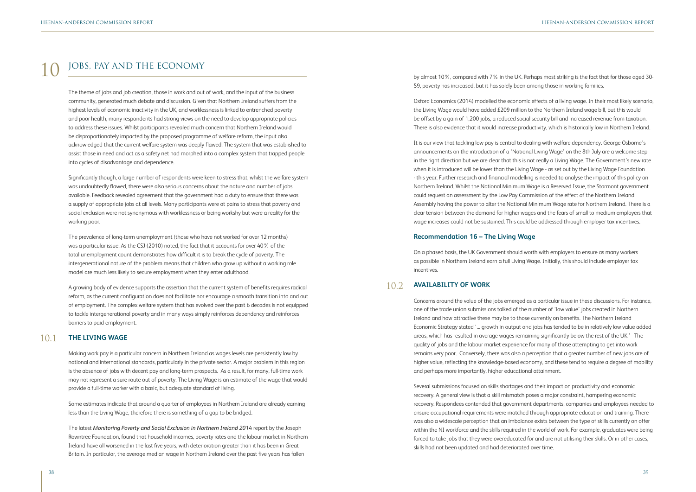# JOBS, PAY AND THE ECONOMY

The theme of jobs and job creation, those in work and out of work, and the input of the business community, generated much debate and discussion. Given that Northern Ireland suffers from the highest levels of economic inactivity in the UK, and worklessness is linked to entrenched poverty and poor health, many respondents had strong views on the need to develop appropriate policies to address these issues. Whilst participants revealed much concern that Northern Ireland would be disproportionately impacted by the proposed programme of welfare reform, the input also acknowledged that the current welfare system was deeply flawed. The system that was established to assist those in need and act as a safety net had morphed into a complex system that trapped people into cycles of disadvantage and dependence.

Significantly though, a large number of respondents were keen to stress that, whilst the welfare system was undoubtedly flawed, there were also serious concerns about the nature and number of jobs available. Feedback revealed agreement that the government had a duty to ensure that there was a supply of appropriate jobs at all levels. Many participants were at pains to stress that poverty and social exclusion were not synonymous with worklessness or being workshy but were a reality for the working poor.

The prevalence of long-term unemployment (those who have not worked for over 12 months) was a particular issue. As the CSJ (2010) noted, the fact that it accounts for over 40% of the total unemployment count demonstrates how difficult it is to break the cycle of poverty. The intergenerational nature of the problem means that children who grow up without a working role model are much less likely to secure employment when they enter adulthood.

A growing body of evidence supports the assertion that the current system of benefits requires radical reform, as the current configuration does not facilitate nor encourage a smooth transition into and out of employment. The complex welfare system that has evolved over the past 6 decades is not equipped to tackle intergenerational poverty and in many ways simply reinforces dependency and reinforces barriers to paid employment.

Making work pay is a particular concern in Northern Ireland as wages levels are persistently low by national and international standards, particularly in the private sector. A major problem in this region is the absence of jobs with decent pay and long-term prospects. As a result, for many, full-time work may not represent a sure route out of poverty. The Living Wage is an estimate of the wage that would provide a full-time worker with a basic, but adequate standard of living.

Some estimates indicate that around a quarter of employees in Northern Ireland are already earning less than the Living Wage, therefore there is something of a gap to be bridged.

The latest *Monitoring Poverty and Social Exclusion in Northern Ireland 2014* report by the Joseph Rowntree Foundation, found that household incomes, poverty rates and the labour market in Northern Ireland have all worsened in the last five years, with deterioration greater than it has been in Great Britain. In particular, the average median wage in Northern Ireland over the past five years has fallen

by almost 10%, compared with 7% in the UK. Perhaps most striking is the fact that for those aged 30- 59, poverty has increased, but it has solely been among those in working families.

Oxford Economics (2014) modelled the economic effects of a living wage. In their most likely scenario, the Living Wage would have added £209 million to the Northern Ireland wage bill, but this would be offset by a gain of 1,200 jobs, a reduced social security bill and increased revenue from taxation. There is also evidence that it would increase productivity, which is historically low in Northern Ireland.

It is our view that tackling low pay is central to dealing with welfare dependency. George Osborne's announcements on the introduction of a 'National Living Wage' on the 8th July are a welcome step in the right direction but we are clear that this is not really a Living Wage. The Government's new rate when it is introduced will be lower than the Living Wage - as set out by the Living Wage Foundation - this year. Further research and financial modelling is needed to analyse the impact of this policy on Northern Ireland. Whilst the National Minimum Wage is a Reserved Issue, the Stormont government could request an assessment by the Low Pay Commission of the effect of the Northern Ireland Assembly having the power to alter the National Minimum Wage rate for Northern Ireland. There is a clear tension between the demand for higher wages and the fears of small to medium employers that wage increases could not be sustained. This could be addressed through employer tax incentives.

### **THE LIVING WAGE** 10.1

## **Recommendation 16 – The Living Wage**

On a phased basis, the UK Government should worth with employers to ensure as many workers as possible in Northern Ireland earn a full Living Wage. Initially, this should include employer tax incentives.

Concerns around the value of the jobs emerged as a particular issue in these discussions. For instance, one of the trade union submissions talked of the number of 'low value' jobs created in Northern Ireland and how attractive these may be to those currently on benefits. The Northern Ireland Economic Strategy stated '... growth in output and jobs has tended to be in relatively low value added areas, which has resulted in average wages remaining significantly below the rest of the UK.' The quality of jobs and the labour market experience for many of those attempting to get into work remains very poor. Conversely, there was also a perception that a greater number of new jobs are of higher value, reflecting the knowledge-based economy, and these tend to require a degree of mobility and perhaps more importantly, higher educational attainment.

### **AVAILABILITY OF WORK**  10.2

Several submissions focused on skills shortages and their impact on productivity and economic recovery. A general view is that a skill mismatch poses a major constraint, hampering economic recovery. Respondees contended that government departments, companies and employees needed to ensure occupational requirements were matched through appropriate education and training. There was also a widescale perception that an imbalance exists between the type of skills currently on offer within the NI workforce and the skills required in the world of work. For example, graduates were being forced to take jobs that they were overeducated for and are not utilising their skills. Or in other cases, skills had not been updated and had deteriorated over time.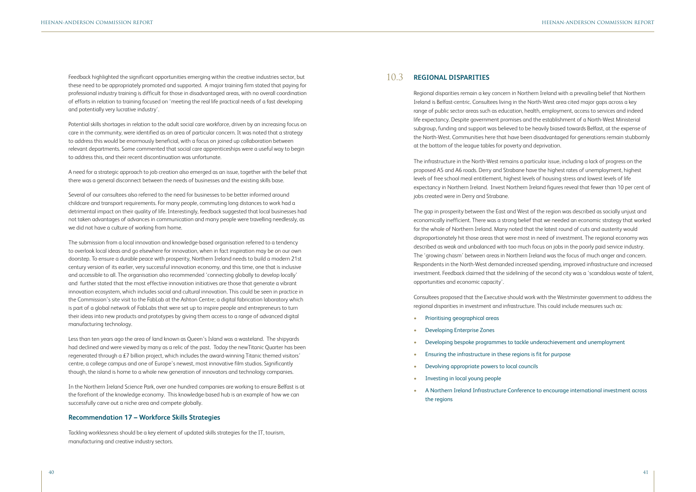Feedback highlighted the significant opportunities emerging within the creative industries sector, but these need to be appropriately promoted and supported. A major training firm stated that paying for professional industry training is difficult for those in disadvantaged areas, with no overall coordination of efforts in relation to training focused on 'meeting the real life practical needs of a fast developing and potentially very lucrative industry'.

Potential skills shortages in relation to the adult social care workforce, driven by an increasing focus on care in the community, were identified as an area of particular concern. It was noted that a strategy to address this would be enormously beneficial, with a focus on joined up collaboration between relevant departments. Some commented that social care apprenticeships were a useful way to begin to address this, and their recent discontinuation was unfortunate.

A need for a strategic approach to job creation also emerged as an issue, together with the belief that there was a general disconnect between the needs of businesses and the existing skills base.

Several of our consultees also referred to the need for businesses to be better informed around childcare and transport requirements. For many people, commuting long distances to work had a detrimental impact on their quality of life. Interestingly, feedback suggested that local businesses had not taken advantages of advances in communication and many people were travelling needlessly, as we did not have a culture of working from home.

The submission from a local innovation and knowledge-based organisation referred to a tendency to overlook local ideas and go elsewhere for innovation, when in fact inspiration may be on our own doorstep. To ensure a durable peace with prosperity, Northern Ireland needs to build a modern 21st century version of its earlier, very successful innovation economy, and this time, one that is inclusive and accessible to all. The organisation also recommended 'connecting globally to develop locally' and further stated that the most effective innovation initiatives are those that generate a vibrant innovation ecosystem, which includes social and cultural innovation. This could be seen in practice in the Commission's site visit to the FabLab at the Ashton Centre; a digital fabrication laboratory which is part of a global network of FabLabs that were set up to inspire people and entrepreneurs to turn their ideas into new products and prototypes by giving them access to a range of advanced digital manufacturing technology.

Less than ten years ago the area of land known as Queen's Island was a wasteland. The shipyards had declined and were viewed by many as a relic of the past. Today the newTitanic Quarter has been regenerated through a £7 billion project, which includes the award-winning Titanic themed visitors' centre, a college campus and one of Europe's newest, most innovative film studios. Significantly though, the island is home to a whole new generation of innovators and technology companies.

In the Northern Ireland Science Park, over one hundred companies are working to ensure Belfast is at the forefront of the knowledge economy. This knowledge-based hub is an example of how we can successfully carve out a niche area and compete globally.

### **Recommendation 17 – Workforce Skills Strategies**

Tackling worklessness should be a key element of updated skills strategies for the IT, tourism, manufacturing and creative industry sectors.

Regional disparities remain a key concern in Northern Ireland with a prevailing belief that Northern Ireland is Belfast-centric. Consultees living in the North-West area cited major gaps across a key range of public sector areas such as education, health, employment, access to services and indeed life expectancy. Despite government promises and the establishment of a North-West Ministerial subgroup, funding and support was believed to be heavily biased towards Belfast, at the expense of the North-West. Communities here that have been disadvantaged for generations remain stubbornly at the bottom of the league tables for poverty and deprivation.

The infrastructure in the North-West remains a particular issue, including a lack of progress on the proposed A5 and A6 roads. Derry and Strabane have the highest rates of unemployment, highest levels of free school meal entitlement, highest levels of housing stress and lowest levels of life expectancy in Northern Ireland. Invest Northern Ireland figures reveal that fewer than 10 per cent of jobs created were in Derry and Strabane.

### **REGIONAL DISPARITIES** 10.3

The gap in prosperity between the East and West of the region was described as socially unjust and economically inefficient. There was a strong belief that we needed an economic strategy that worked for the whole of Northern Ireland. Many noted that the latest round of cuts and austerity would disproportionately hit those areas that were most in need of investment. The regional economy was described as weak and unbalanced with too much focus on jobs in the poorly paid service industry. The 'growing chasm' between areas in Northern Ireland was the focus of much anger and concern. Respondents in the North-West demanded increased spending, improved infrastructure and increased investment. Feedback claimed that the sidelining of the second city was a 'scandalous waste of talent, opportunities and economic capacity'.

Consultees proposed that the Executive should work with the Westminster government to address the regional disparities in investment and infrastructure. This could include measures such as:

• Developing bespoke programmes to tackle underachievement and unemployment

- Prioritising geographical areas
- Developing Enterprise Zones
- 
- Ensuring the infrastructure in these regions is fit for purpose
- Devolving appropriate powers to local councils
- Investing in local young people
- the regions

• A Northern Ireland Infrastructure Conference to encourage international investment across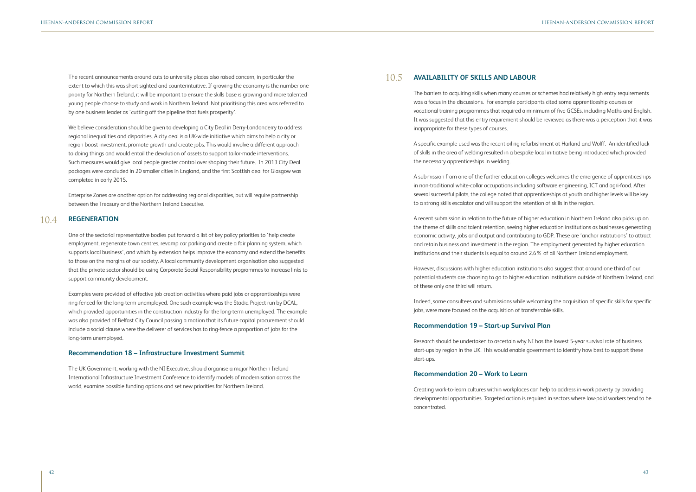The recent announcements around cuts to university places also raised concern, in particular the extent to which this was short sighted and counterintuitive. If growing the economy is the number one priority for Northern Ireland, it will be important to ensure the skills base is growing and more talented young people choose to study and work in Northern Ireland. Not prioritising this area was referred to by one business leader as 'cutting off the pipeline that fuels prosperity'.

We believe consideration should be given to developing a City Deal in Derry-Londonderry to address regional inequalities and disparities. A city deal is a UK-wide initiative which aims to help a city or region boost investment, promote growth and create jobs. This would involve a different approach to doing things and would entail the devolution of assets to support tailor-made interventions. Such measures would give local people greater control over shaping their future. In 2013 City Deal packages were concluded in 20 smaller cities in England, and the first Scottish deal for Glasgow was completed in early 2015.

Enterprise Zones are another option for addressing regional disparities, but will require partnership between the Treasury and the Northern Ireland Executive.

One of the sectorial representative bodies put forward a list of key policy priorities to 'help create employment, regenerate town centres, revamp car parking and create a fair planning system, which supports local business', and which by extension helps improve the economy and extend the benefits to those on the margins of our society. A local community development organisation also suggested that the private sector should be using Corporate Social Responsibility programmes to increase links to support community development.

Examples were provided of effective job creation activities where paid jobs or apprenticeships were ring-fenced for the long-term unemployed. One such example was the Stadia Project run by DCAL, which provided opportunities in the construction industry for the long-term unemployed. The example was also provided of Belfast City Council passing a motion that its future capital procurement should include a social clause where the deliverer of services has to ring-fence a proportion of jobs for the long-term unemployed.

### **Recommendation 18 – Infrastructure Investment Summit**

The UK Government, working with the NI Executive, should organise a major Northern Ireland International Infrastructure Investment Conference to identify models of modernisation across the world, examine possible funding options and set new priorities for Northern Ireland.

The barriers to acquiring skills when many courses or schemes had relatively high entry requirements was a focus in the discussions. For example participants cited some apprenticeship courses or vocational training programmes that required a minimum of five GCSEs, including Maths and English. It was suggested that this entry requirement should be reviewed as there was a perception that it was inappropriate for these types of courses.

### **REGENERATION**  10.4

A specific example used was the recent oil rig refurbishment at Harland and Wolff. An identified lack of skills in the area of welding resulted in a bespoke local initiative being introduced which provided the necessary apprenticeships in welding.

A submission from one of the further education colleges welcomes the emergence of apprenticeships in non-traditional white-collar occupations including software engineering, ICT and agri-food. After several successful pilots, the college noted that apprenticeships at youth and higher levels will be key to a strong skills escalator and will support the retention of skills in the region.

### **AVAILABILITY OF SKILLS AND LABOUR** 10.5

A recent submission in relation to the future of higher education in Northern Ireland also picks up on the theme of skills and talent retention, seeing higher education institutions as businesses generating economic activity, jobs and output and contributing to GDP. These are 'anchor institutions' to attract and retain business and investment in the region. The employment generated by higher education institutions and their students is equal to around 2.6% of all Northern Ireland employment.

However, discussions with higher education institutions also suggest that around one third of our potential students are choosing to go to higher education institutions outside of Northern Ireland, and of these only one third will return.

Indeed, some consultees and submissions while welcoming the acquisition of specific skills for specific jobs, were more focused on the acquisition of transferrable skills.

# **Recommendation 19 – Start-up Survival Plan**

Research should be undertaken to ascertain why NI has the lowest 5-year survival rate of business start-ups by region in the UK. This would enable government to identify how best to support these start-ups.

### **Recommendation 20 – Work to Learn**

Creating work-to-learn cultures within workplaces can help to address in-work poverty by providing developmental opportunities. Targeted action is required in sectors where low-paid workers tend to be concentrated.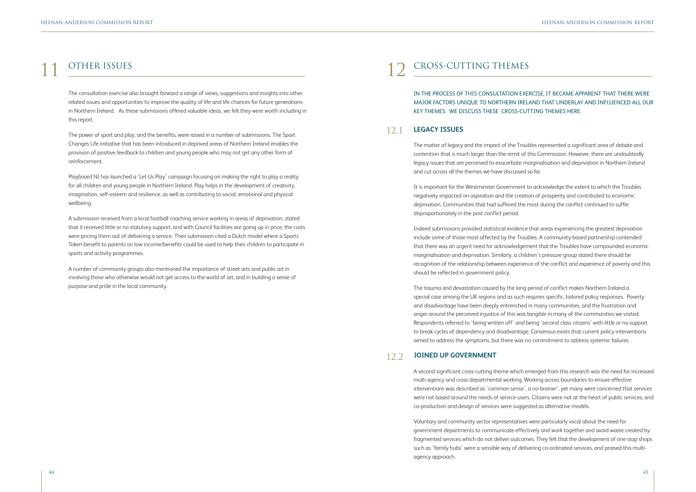The consultation exercise also brought forward a range of views, suggestions and insights into other related issues and opportunities to improve the quality of life and life chances for future generations in Northern Ireland. As these submissions offered valuable ideas, we felt they were worth including in this report.

The power of sport and play, and the benefits, were raised in a number of submissions. The Sport Changes Life initiative that has been introduced in deprived areas of Northern Ireland enables the provision of positive feedback to children and young people who may not get any other form of reinforcement.

Playboard NI has launched a 'Let Us Play' campaign focusing on making the right to play a reality for all children and young people in Northern Ireland. Play helps in the development of creativity, imagination, self-esteem and resilience, as well as contributing to social, emotional and physical wellbeing.

A submission received from a local football coaching service working in areas of deprivation, stated that it received little or no statutory support, and with Council facilities are going up in price, the costs were pricing them out of delivering a service. Their submission cited a Dutch model where a Sports Token benefit to parents on low income/benefits could be used to help their children to participate in sports and activity programmes.

A number of community groups also mentioned the importance of street arts and public art in involving those who otherwise would not get access to the world of art, and in building a sense of purpose and pride in the local community.

# 11 OTHER ISSUES 12 CROSS-CUTTING THEMES

# IN THE PROCESS OF THIS CONSULTATION EXERCISE, IT BECAME APPARENT THAT THERE WERE MAJOR FACTORS UNIQUE TO NORTHERN IRELAND THAT UNDERLAY AND INFLUENCED ALL OUR

KEY THEMES. WE DISCUSS THESE CROSS-CUTTING THEMES HERE.

The matter of legacy and the impact of the Troubles represented a significant area of debate and contention that is much larger than the remit of this Commission. However, there are undoubtedly legacy issues that are perceived to exacerbate marginalisation and deprivation in Northern Ireland and cut across all the themes we have discussed so far.

It is important for the Westminster Government to acknowledge the extent to which the Troubles negatively impacted on aspiration and the creation of prosperity and contributed to economic deprivation. Communities that had suffered the most during the conflict continued to suffer disproportionately in the post conflict period.

Indeed submissions provided statistical evidence that areas experiencing the greatest deprivation include some of those most affected by the Troubles. A community-based partnership contended that there was an urgent need for acknowledgement that the Troubles have compounded economic marginalisation and deprivation. Similarly, a children's pressure group stated there should be recognition of the relationship between experience of the conflict and experience of poverty and this should be reflected in government policy.

### **LEGACY ISSUES** 12.1

The trauma and devastation caused by the long period of conflict makes Northern Ireland a special case among the UK regions and as such requires specific, tailored policy responses. Poverty and disadvantage have been deeply entrenched in many communities, and the frustration and anger around the perceived injustice of this was tangible in many of the communities we visited. Respondents referred to 'being written off' and being 'second class citizens' with little or no support to break cycles of dependency and disadvantage. Consensus exists that current policy interventions aimed to address the symptoms, but there was no commitment to address systemic failures.

A second significant cross-cutting theme which emerged from this research was the need for increased multi-agency and cross-departmental working. Working across boundaries to ensure effective interventions was described as 'common sense', a no-brainer', yet many were concerned that services were not based around the needs of service-users. Citizens were not at the heart of public services, and co-production and design of services were suggested as alternative models.

### **JOINED UP GOVERNMENT** 12.2

Voluntary and community sector representatives were particularly vocal about the need for government departments to communicate effectively and work together and avoid waste created by fragmented services which do not deliver outcomes. They felt that the development of one stop shops such as 'family hubs' were a sensible way of delivering co-ordinated services, and praised this multiagency approach.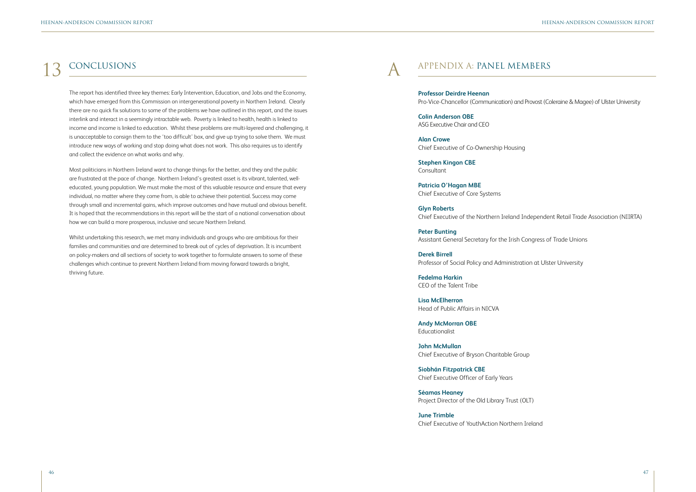# 13 CONCLUSIONS

The report has identified three key themes: Early Intervention, Education, and Jobs and the Economy, which have emerged from this Commission on intergenerational poverty in Northern Ireland. Clearly there are no quick fix solutions to some of the problems we have outlined in this report, and the issues interlink and interact in a seemingly intractable web. Poverty is linked to health, health is linked to income and income is linked to education. Whilst these problems are multi-layered and challenging, it is unacceptable to consign them to the 'too difficult' box, and give up trying to solve them. We must introduce new ways of working and stop doing what does not work. This also requires us to identify and collect the evidence on what works and why.

Most politicians in Northern Ireland want to change things for the better, and they and the public are frustrated at the pace of change. Northern Ireland's greatest asset is its vibrant, talented, welleducated, young population. We must make the most of this valuable resource and ensure that every individual, no matter where they come from, is able to achieve their potential. Success may come through small and incremental gains, which improve outcomes and have mutual and obvious benefit. It is hoped that the recommendations in this report will be the start of a national conversation about how we can build a more prosperous, inclusive and secure Northern Ireland.

Whilst undertaking this research, we met many individuals and groups who are ambitious for their families and communities and are determined to break out of cycles of deprivation. It is incumbent on policy-makers and all sections of society to work together to formulate answers to some of these challenges which continue to prevent Northern Ireland from moving forward towards a bright, thriving future.

# APPENDIX A: PANEL MEMBERS

**Professor Deirdre Heenan** Pro-Vice-Chancellor (Communication) and Provost (Coleraine & Magee) of Ulster University

**Colin Anderson OBE**  ASG Executive Chair and CEO

**Alan Crowe** Chief Executive of Co-Ownership Housing

**Stephen Kingon CBE** Consultant

**Patricia O'Hagan MBE** Chief Executive of Core Systems

**Glyn Roberts** Chief Executive of the Northern Ireland Independent Retail Trade Association (NIIRTA)

**Peter Bunting** Assistant General Secretary for the Irish Congress of Trade Unions

**Derek Birrell** Professor of Social Policy and Administration at Ulster University

**Fedelma Harkin** CEO of the Talent Tribe

**Lisa McElherron** Head of Public Affairs in NICVA

**Andy McMorran OBE** Educationalist

**John McMullan** Chief Executive of Bryson Charitable Group

**Siobhán Fitzpatrick CBE** Chief Executive Officer of Early Years

**Séamas Heaney** Project Director of the Old Library Trust (OLT)

**June Trimble** Chief Executive of YouthAction Northern Ireland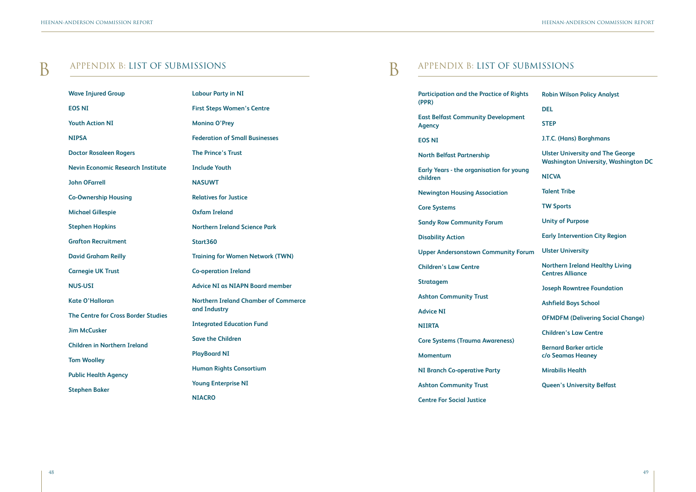# B APPENDIX B: LIST OF SUBMISSIONS

| <b>Wave Injured Group</b>                  | <b>Labour Party in NI</b>                                    |
|--------------------------------------------|--------------------------------------------------------------|
| <b>EOS NI</b>                              | <b>First Steps Women's Centre</b>                            |
| <b>Youth Action NI</b>                     | <b>Monina O'Prey</b>                                         |
| <b>NIPSA</b>                               | <b>Federation of Small Businesses</b>                        |
| <b>Doctor Rosaleen Rogers</b>              | <b>The Prince's Trust</b>                                    |
| <b>Nevin Economic Research Institute</b>   | <b>Include Youth</b>                                         |
| <b>John OFarrell</b>                       | <b>NASUWT</b>                                                |
| <b>Co-Ownership Housing</b>                | <b>Relatives for Justice</b>                                 |
| <b>Michael Gillespie</b>                   | <b>Oxfam Ireland</b>                                         |
| <b>Stephen Hopkins</b>                     | <b>Northern Ireland Science Park</b>                         |
| <b>Grafton Recruitment</b>                 | <b>Start360</b>                                              |
| <b>David Graham Reilly</b>                 | <b>Training for Women Network (TWN)</b>                      |
| <b>Carnegie UK Trust</b>                   | <b>Co-operation Ireland</b>                                  |
| <b>NUS-USI</b>                             | <b>Advice NI as NIAPN Board member</b>                       |
| <b>Kate O'Halloran</b>                     | <b>Northern Ireland Chamber of Commerce</b>                  |
| <b>The Centre for Cross Border Studies</b> | and Industry                                                 |
| <b>Jim McCusker</b>                        | <b>Integrated Education Fund</b><br><b>Save the Children</b> |
| <b>Children in Northern Ireland</b>        | <b>PlayBoard NI</b>                                          |
| <b>Tom Woolley</b>                         |                                                              |
| <b>Public Health Agency</b>                | <b>Human Rights Consortium</b>                               |
| <b>Stephen Baker</b>                       | <b>Young Enterprise NI</b>                                   |
|                                            | <b>NIACRO</b>                                                |

# B APPENDIX B: LIST OF SUBMISSIONS

**Participation and the Practice of Rights (PPR)**

**East Belfast Community Development Agency**

**EOS NI**

**North Belfast Partnership**

**Early Years - the organisation for young children**

**Newington Housing Association**

**Core Systems**

**Sandy Row Community Forum**

**Disability Action**

**Upper Andersonstown Community Form** 

**Children's Law Centre**

**Stratagem**

**Ashton Community Trust**

**Advice NI**

**NIIRTA**

**Core Systems (Trauma Awareness)**

**Momentum**

**NI Branch Co-operative Party**

**Ashton Community Trust**

**Centre For Social Justice**

| Ś  | <b>Robin Wilson Policy Analyst</b>                                                     |
|----|----------------------------------------------------------------------------------------|
|    | <b>DEL</b>                                                                             |
|    | <b>STEP</b>                                                                            |
|    | J.T.C. (Hans) Borghmans                                                                |
|    | <b>Ulster University and The George</b><br><b>Washington University, Washington DC</b> |
| g  | <b>NICVA</b>                                                                           |
|    | <b>Talent Tribe</b>                                                                    |
|    | <b>TW Sports</b>                                                                       |
|    | <b>Unity of Purpose</b>                                                                |
|    | <b>Early Intervention City Region</b>                                                  |
| um | <b>Ulster University</b>                                                               |
|    | <b>Northern Ireland Healthy Living</b><br><b>Centres Alliance</b>                      |
|    | <b>Joseph Rowntree Foundation</b>                                                      |
|    | <b>Ashfield Boys School</b>                                                            |
|    | <b>OFMDFM (Delivering Social Change)</b>                                               |
|    | <b>Children's Law Centre</b>                                                           |
|    | <b>Bernard Barker article</b><br>c/o Seamas Heaney                                     |
|    | <b>Mirabilis Health</b>                                                                |
|    | <b>Queen's University Belfast</b>                                                      |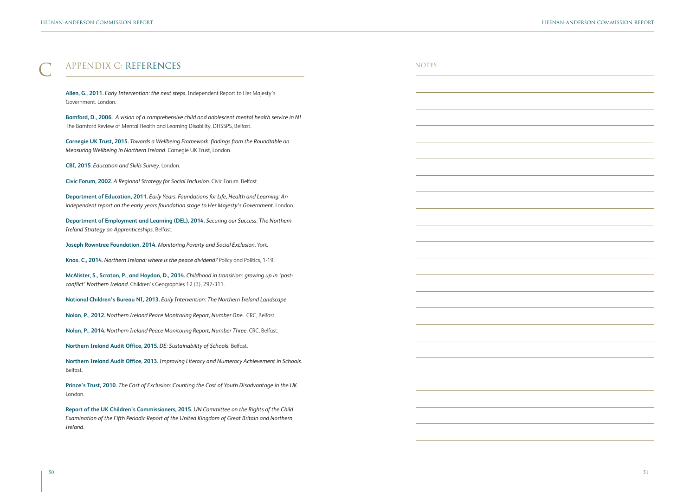| APPENDIX C: REFERENCES                                                                                                                                                                               | <b>NOTES</b> |
|------------------------------------------------------------------------------------------------------------------------------------------------------------------------------------------------------|--------------|
| Allen, G., 2011. Early Intervention: the next steps. Independent Report to Her Majesty's<br>Government. London.                                                                                      |              |
| Bamford, D., 2006. A vision of a comprehensive child and adolescent mental health service in NI.<br>The Bamford Review of Mental Health and Learning Disability, DHSSPS, Belfast.                    |              |
| Carnegie UK Trust, 2015. Towards a Wellbeing Framework: findings from the Roundtable on<br>Measuring Wellbeing in Northern Ireland. Carnegie UK Trust, London.                                       |              |
| CBI, 2015. Education and Skills Survey. London.                                                                                                                                                      |              |
| Civic Forum, 2002. A Regional Strategy for Social Inclusion. Civic Forum. Belfast.                                                                                                                   |              |
| Department of Education, 2011. Early Years. Foundations for Life, Health and Learning: An<br>independent report on the early years foundation stage to Her Majesty's Government. London.             |              |
| Department of Employment and Learning (DEL), 2014. Securing our Success: The Northern<br>Ireland Strategy on Apprenticeships. Belfast.                                                               |              |
| Joseph Rowntree Foundation, 2014. Monitoring Poverty and Social Exclusion. York.                                                                                                                     |              |
| Knox. C., 2014. Northern Ireland: where is the peace dividend? Policy and Politics, 1-19.                                                                                                            |              |
| McAlister, S., Scraton, P., and Haydon, D., 2014. Childhood in transition: growing up in 'post-<br>conflict' Northern Ireland. Children's Geographies 12 (3), 297-311.                               |              |
| National Children's Bureau NI, 2013. Early Intervention: The Northern Ireland Landscape.                                                                                                             |              |
| Nolan, P., 2012. Northern Ireland Peace Monitoring Report, Number One. CRC, Belfast.                                                                                                                 |              |
| Nolan, P., 2014. Northern Ireland Peace Monitoring Report, Number Three. CRC, Belfast.                                                                                                               |              |
| Northern Ireland Audit Office, 2015. DE: Sustainability of Schools. Belfast.                                                                                                                         |              |
| Northern Ireland Audit Office, 2013. Improving Literacy and Numeracy Achievement in Schools.<br>Belfast.                                                                                             |              |
| Prince's Trust, 2010. The Cost of Exclusion: Counting the Cost of Youth Disadvantage in the UK.<br>London.                                                                                           |              |
| Report of the UK Children's Commissioners, 2015. UN Committee on the Rights of the Child<br>Examination of the Fifth Periodic Report of the United Kingdom of Great Britain and Northern<br>Ireland. |              |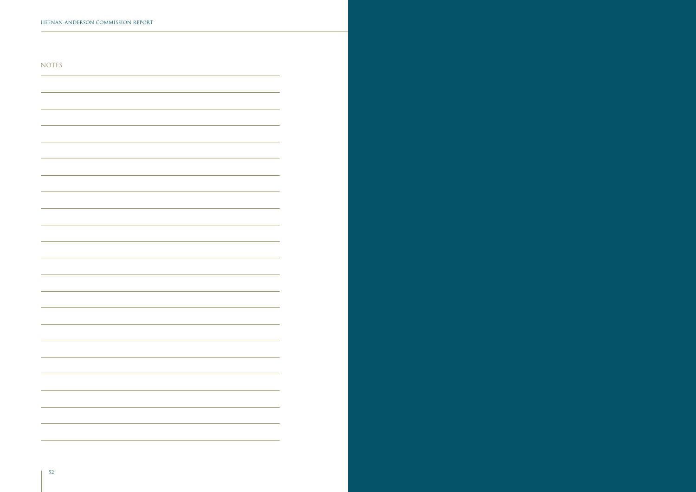$\overline{\phantom{a}}$ 

 $\overline{\phantom{a}}$ 

 $\sim$ 

 $\sim$ 

 $\overline{\phantom{a}}$ 

 $\overline{\phantom{a}}$ 

 $\sim$ 

 $\overline{\phantom{a}}$ 

 $\overline{\phantom{0}}$ 

NOTES

 $\overline{\phantom{0}}$